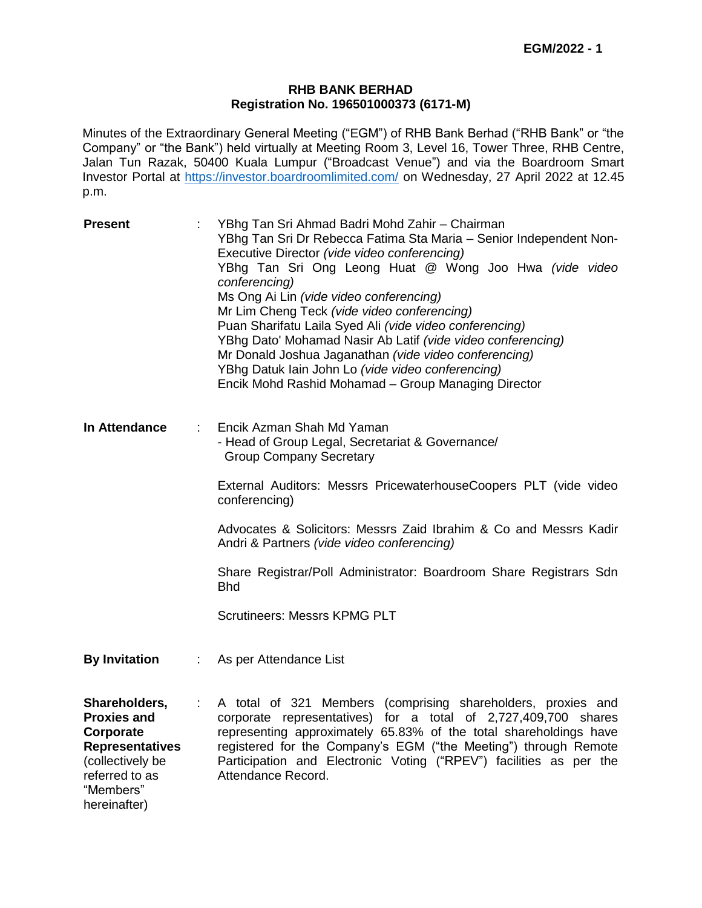#### **RHB BANK BERHAD Registration No. 196501000373 (6171-M)**

Minutes of the Extraordinary General Meeting ("EGM") of RHB Bank Berhad ("RHB Bank" or "the Company" or "the Bank") held virtually at Meeting Room 3, Level 16, Tower Three, RHB Centre, Jalan Tun Razak, 50400 Kuala Lumpur ("Broadcast Venue") and via the Boardroom Smart Investor Portal at<https://investor.boardroomlimited.com/> on Wednesday, 27 April 2022 at 12.45 p.m.

| <b>Present</b>                                                                                                                                |                                                                                                                 | YBhg Tan Sri Ahmad Badri Mohd Zahir - Chairman<br>YBhg Tan Sri Dr Rebecca Fatima Sta Maria - Senior Independent Non-<br>Executive Director (vide video conferencing)<br>YBhg Tan Sri Ong Leong Huat @ Wong Joo Hwa (vide video<br>conferencing)<br>Ms Ong Ai Lin (vide video conferencing)<br>Mr Lim Cheng Teck (vide video conferencing)<br>Puan Sharifatu Laila Syed Ali (vide video conferencing)<br>YBhg Dato' Mohamad Nasir Ab Latif (vide video conferencing)<br>Mr Donald Joshua Jaganathan (vide video conferencing)<br>YBhg Datuk lain John Lo (vide video conferencing)<br>Encik Mohd Rashid Mohamad - Group Managing Director |  |  |  |  |
|-----------------------------------------------------------------------------------------------------------------------------------------------|-----------------------------------------------------------------------------------------------------------------|------------------------------------------------------------------------------------------------------------------------------------------------------------------------------------------------------------------------------------------------------------------------------------------------------------------------------------------------------------------------------------------------------------------------------------------------------------------------------------------------------------------------------------------------------------------------------------------------------------------------------------------|--|--|--|--|
| In Attendance                                                                                                                                 | Encik Azman Shah Md Yaman<br>- Head of Group Legal, Secretariat & Governance/<br><b>Group Company Secretary</b> |                                                                                                                                                                                                                                                                                                                                                                                                                                                                                                                                                                                                                                          |  |  |  |  |
|                                                                                                                                               |                                                                                                                 | External Auditors: Messrs PricewaterhouseCoopers PLT (vide video<br>conferencing)                                                                                                                                                                                                                                                                                                                                                                                                                                                                                                                                                        |  |  |  |  |
|                                                                                                                                               |                                                                                                                 | Advocates & Solicitors: Messrs Zaid Ibrahim & Co and Messrs Kadir<br>Andri & Partners (vide video conferencing)                                                                                                                                                                                                                                                                                                                                                                                                                                                                                                                          |  |  |  |  |
|                                                                                                                                               |                                                                                                                 | Share Registrar/Poll Administrator: Boardroom Share Registrars Sdn<br><b>Bhd</b>                                                                                                                                                                                                                                                                                                                                                                                                                                                                                                                                                         |  |  |  |  |
|                                                                                                                                               |                                                                                                                 | <b>Scrutineers: Messrs KPMG PLT</b>                                                                                                                                                                                                                                                                                                                                                                                                                                                                                                                                                                                                      |  |  |  |  |
| <b>By Invitation</b>                                                                                                                          | ÷                                                                                                               | As per Attendance List                                                                                                                                                                                                                                                                                                                                                                                                                                                                                                                                                                                                                   |  |  |  |  |
| Shareholders,<br><b>Proxies and</b><br>Corporate<br><b>Representatives</b><br>(collectively be<br>referred to as<br>"Members"<br>hereinafter) | $\mathbb{Z}^{\times}$ .                                                                                         | A total of 321 Members (comprising shareholders, proxies and<br>corporate representatives) for a total of 2,727,409,700 shares<br>representing approximately 65.83% of the total shareholdings have<br>registered for the Company's EGM ("the Meeting") through Remote<br>Participation and Electronic Voting ("RPEV") facilities as per the<br>Attendance Record.                                                                                                                                                                                                                                                                       |  |  |  |  |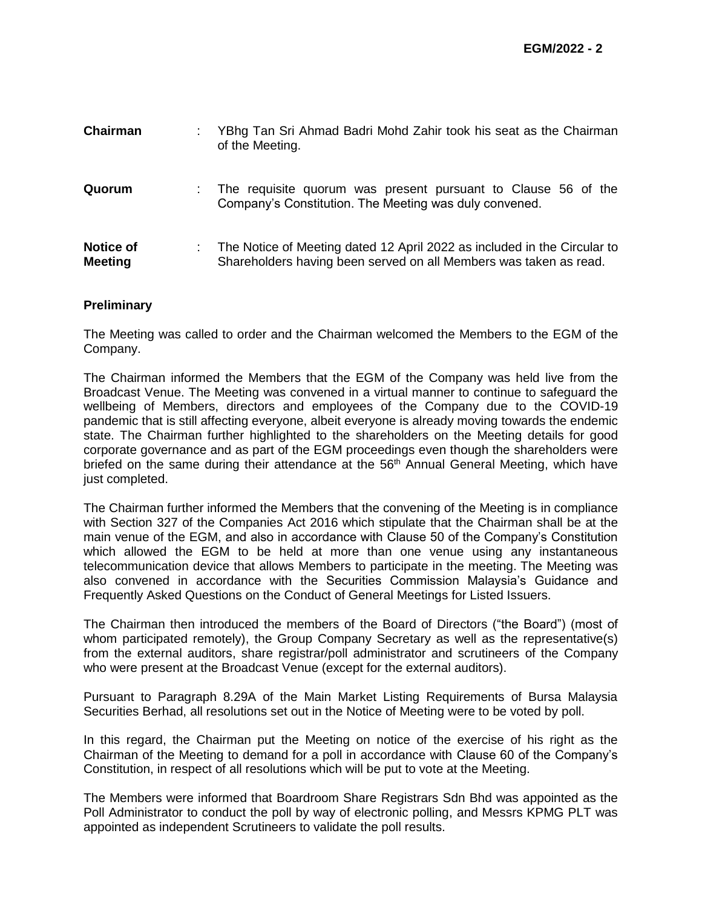| Chairman                           | YBhg Tan Sri Ahmad Badri Mohd Zahir took his seat as the Chairman<br>of the Meeting.                                                          |
|------------------------------------|-----------------------------------------------------------------------------------------------------------------------------------------------|
| Quorum                             | The requisite quorum was present pursuant to Clause 56 of the<br>Company's Constitution. The Meeting was duly convened.                       |
| <b>Notice of</b><br><b>Meeting</b> | The Notice of Meeting dated 12 April 2022 as included in the Circular to<br>Shareholders having been served on all Members was taken as read. |

#### **Preliminary**

The Meeting was called to order and the Chairman welcomed the Members to the EGM of the Company.

The Chairman informed the Members that the EGM of the Company was held live from the Broadcast Venue. The Meeting was convened in a virtual manner to continue to safeguard the wellbeing of Members, directors and employees of the Company due to the COVID-19 pandemic that is still affecting everyone, albeit everyone is already moving towards the endemic state. The Chairman further highlighted to the shareholders on the Meeting details for good corporate governance and as part of the EGM proceedings even though the shareholders were briefed on the same during their attendance at the 56<sup>th</sup> Annual General Meeting, which have just completed.

The Chairman further informed the Members that the convening of the Meeting is in compliance with Section 327 of the Companies Act 2016 which stipulate that the Chairman shall be at the main venue of the EGM, and also in accordance with Clause 50 of the Company's Constitution which allowed the EGM to be held at more than one venue using any instantaneous telecommunication device that allows Members to participate in the meeting. The Meeting was also convened in accordance with the Securities Commission Malaysia's Guidance and Frequently Asked Questions on the Conduct of General Meetings for Listed Issuers.

The Chairman then introduced the members of the Board of Directors ("the Board") (most of whom participated remotely), the Group Company Secretary as well as the representative(s) from the external auditors, share registrar/poll administrator and scrutineers of the Company who were present at the Broadcast Venue (except for the external auditors).

Pursuant to Paragraph 8.29A of the Main Market Listing Requirements of Bursa Malaysia Securities Berhad, all resolutions set out in the Notice of Meeting were to be voted by poll.

In this regard, the Chairman put the Meeting on notice of the exercise of his right as the Chairman of the Meeting to demand for a poll in accordance with Clause 60 of the Company's Constitution, in respect of all resolutions which will be put to vote at the Meeting.

The Members were informed that Boardroom Share Registrars Sdn Bhd was appointed as the Poll Administrator to conduct the poll by way of electronic polling, and Messrs KPMG PLT was appointed as independent Scrutineers to validate the poll results.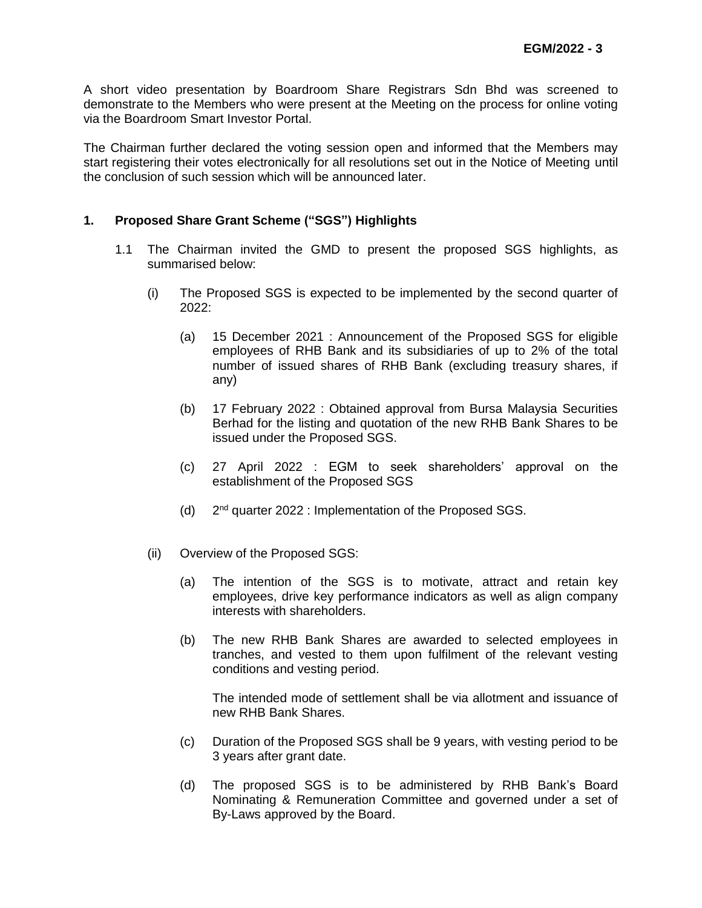A short video presentation by Boardroom Share Registrars Sdn Bhd was screened to demonstrate to the Members who were present at the Meeting on the process for online voting via the Boardroom Smart Investor Portal.

The Chairman further declared the voting session open and informed that the Members may start registering their votes electronically for all resolutions set out in the Notice of Meeting until the conclusion of such session which will be announced later.

## **1. Proposed Share Grant Scheme ("SGS") Highlights**

- 1.1 The Chairman invited the GMD to present the proposed SGS highlights, as summarised below:
	- (i) The Proposed SGS is expected to be implemented by the second quarter of 2022:
		- (a) 15 December 2021 : Announcement of the Proposed SGS for eligible employees of RHB Bank and its subsidiaries of up to 2% of the total number of issued shares of RHB Bank (excluding treasury shares, if any)
		- (b) 17 February 2022 : Obtained approval from Bursa Malaysia Securities Berhad for the listing and quotation of the new RHB Bank Shares to be issued under the Proposed SGS.
		- (c) 27 April 2022 : EGM to seek shareholders' approval on the establishment of the Proposed SGS
		- $(d)$  $2<sup>nd</sup>$  quarter 2022 : Implementation of the Proposed SGS.
	- (ii) Overview of the Proposed SGS:
		- (a) The intention of the SGS is to motivate, attract and retain key employees, drive key performance indicators as well as align company interests with shareholders.
		- (b) The new RHB Bank Shares are awarded to selected employees in tranches, and vested to them upon fulfilment of the relevant vesting conditions and vesting period.

The intended mode of settlement shall be via allotment and issuance of new RHB Bank Shares.

- (c) Duration of the Proposed SGS shall be 9 years, with vesting period to be 3 years after grant date.
- (d) The proposed SGS is to be administered by RHB Bank's Board Nominating & Remuneration Committee and governed under a set of By-Laws approved by the Board.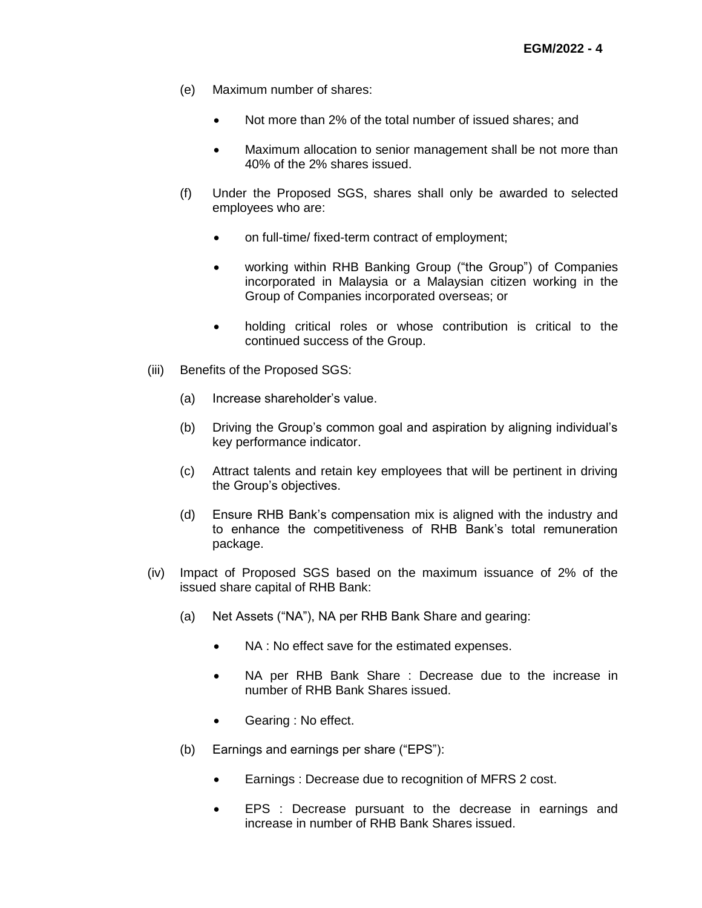- (e) Maximum number of shares:
	- Not more than 2% of the total number of issued shares; and
	- Maximum allocation to senior management shall be not more than 40% of the 2% shares issued.
- (f) Under the Proposed SGS, shares shall only be awarded to selected employees who are:
	- on full-time/ fixed-term contract of employment;
	- working within RHB Banking Group ("the Group") of Companies incorporated in Malaysia or a Malaysian citizen working in the Group of Companies incorporated overseas; or
	- holding critical roles or whose contribution is critical to the continued success of the Group.
- (iii) Benefits of the Proposed SGS:
	- (a) Increase shareholder's value.
	- (b) Driving the Group's common goal and aspiration by aligning individual's key performance indicator.
	- (c) Attract talents and retain key employees that will be pertinent in driving the Group's objectives.
	- (d) Ensure RHB Bank's compensation mix is aligned with the industry and to enhance the competitiveness of RHB Bank's total remuneration package.
- (iv) Impact of Proposed SGS based on the maximum issuance of 2% of the issued share capital of RHB Bank:
	- (a) Net Assets ("NA"), NA per RHB Bank Share and gearing:
		- NA : No effect save for the estimated expenses.
		- NA per RHB Bank Share : Decrease due to the increase in number of RHB Bank Shares issued.
		- Gearing : No effect.
	- (b) Earnings and earnings per share ("EPS"):
		- **Earnings : Decrease due to recognition of MFRS 2 cost.**
		- EPS : Decrease pursuant to the decrease in earnings and increase in number of RHB Bank Shares issued.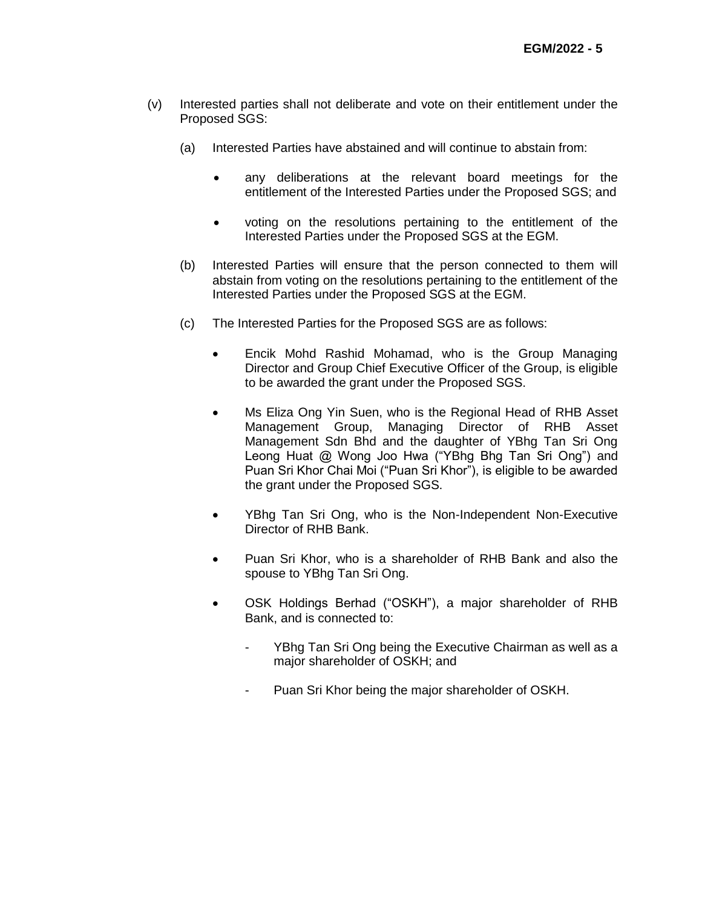- (v) Interested parties shall not deliberate and vote on their entitlement under the Proposed SGS:
	- (a) Interested Parties have abstained and will continue to abstain from:
		- any deliberations at the relevant board meetings for the entitlement of the Interested Parties under the Proposed SGS; and
		- voting on the resolutions pertaining to the entitlement of the Interested Parties under the Proposed SGS at the EGM.
	- (b) Interested Parties will ensure that the person connected to them will abstain from voting on the resolutions pertaining to the entitlement of the Interested Parties under the Proposed SGS at the EGM.
	- (c) The Interested Parties for the Proposed SGS are as follows:
		- Encik Mohd Rashid Mohamad, who is the Group Managing Director and Group Chief Executive Officer of the Group, is eligible to be awarded the grant under the Proposed SGS.
		- Ms Eliza Ong Yin Suen, who is the Regional Head of RHB Asset Management Group, Managing Director of RHB Asset Management Sdn Bhd and the daughter of YBhg Tan Sri Ong Leong Huat @ Wong Joo Hwa ("YBhg Bhg Tan Sri Ong") and Puan Sri Khor Chai Moi ("Puan Sri Khor"), is eligible to be awarded the grant under the Proposed SGS.
		- YBhg Tan Sri Ong, who is the Non-Independent Non-Executive Director of RHB Bank.
		- Puan Sri Khor, who is a shareholder of RHB Bank and also the spouse to YBhg Tan Sri Ong.
		- OSK Holdings Berhad ("OSKH"), a major shareholder of RHB Bank, and is connected to:
			- YBhg Tan Sri Ong being the Executive Chairman as well as a major shareholder of OSKH; and
			- Puan Sri Khor being the major shareholder of OSKH.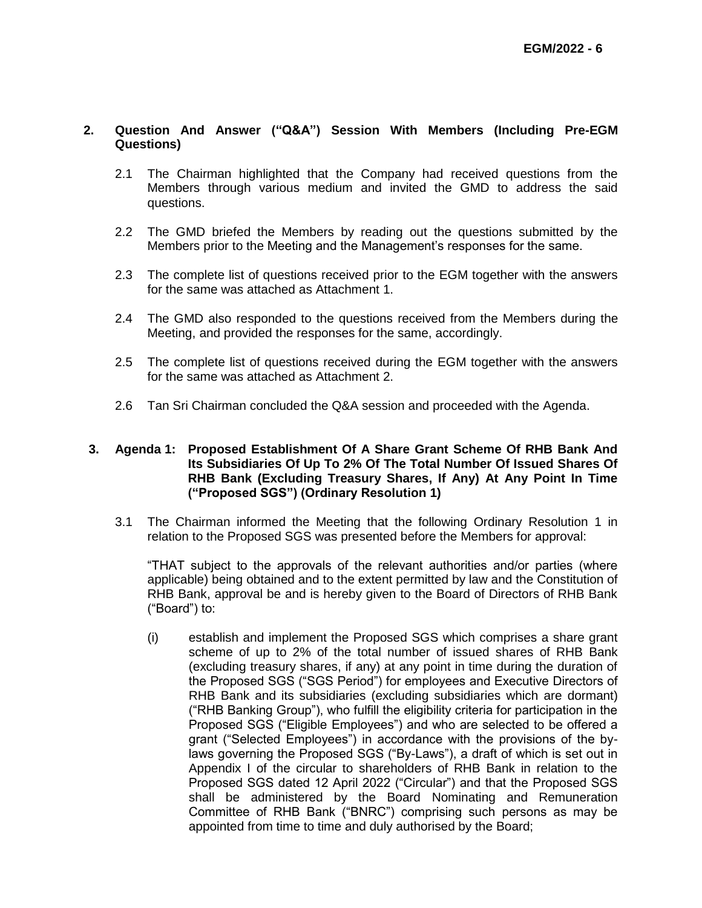### **2. Question And Answer ("Q&A") Session With Members (Including Pre-EGM Questions)**

- 2.1 The Chairman highlighted that the Company had received questions from the Members through various medium and invited the GMD to address the said questions.
- 2.2 The GMD briefed the Members by reading out the questions submitted by the Members prior to the Meeting and the Management's responses for the same.
- 2.3 The complete list of questions received prior to the EGM together with the answers for the same was attached as Attachment 1.
- 2.4 The GMD also responded to the questions received from the Members during the Meeting, and provided the responses for the same, accordingly.
- 2.5 The complete list of questions received during the EGM together with the answers for the same was attached as Attachment 2.
- 2.6 Tan Sri Chairman concluded the Q&A session and proceeded with the Agenda.

#### **3. Agenda 1: Proposed Establishment Of A Share Grant Scheme Of RHB Bank And Its Subsidiaries Of Up To 2% Of The Total Number Of Issued Shares Of RHB Bank (Excluding Treasury Shares, If Any) At Any Point In Time ("Proposed SGS") (Ordinary Resolution 1)**

3.1 The Chairman informed the Meeting that the following Ordinary Resolution 1 in relation to the Proposed SGS was presented before the Members for approval:

"THAT subject to the approvals of the relevant authorities and/or parties (where applicable) being obtained and to the extent permitted by law and the Constitution of RHB Bank, approval be and is hereby given to the Board of Directors of RHB Bank ("Board") to:

(i) establish and implement the Proposed SGS which comprises a share grant scheme of up to 2% of the total number of issued shares of RHB Bank (excluding treasury shares, if any) at any point in time during the duration of the Proposed SGS ("SGS Period") for employees and Executive Directors of RHB Bank and its subsidiaries (excluding subsidiaries which are dormant) ("RHB Banking Group"), who fulfill the eligibility criteria for participation in the Proposed SGS ("Eligible Employees") and who are selected to be offered a grant ("Selected Employees") in accordance with the provisions of the bylaws governing the Proposed SGS ("By-Laws"), a draft of which is set out in Appendix I of the circular to shareholders of RHB Bank in relation to the Proposed SGS dated 12 April 2022 ("Circular") and that the Proposed SGS shall be administered by the Board Nominating and Remuneration Committee of RHB Bank ("BNRC") comprising such persons as may be appointed from time to time and duly authorised by the Board;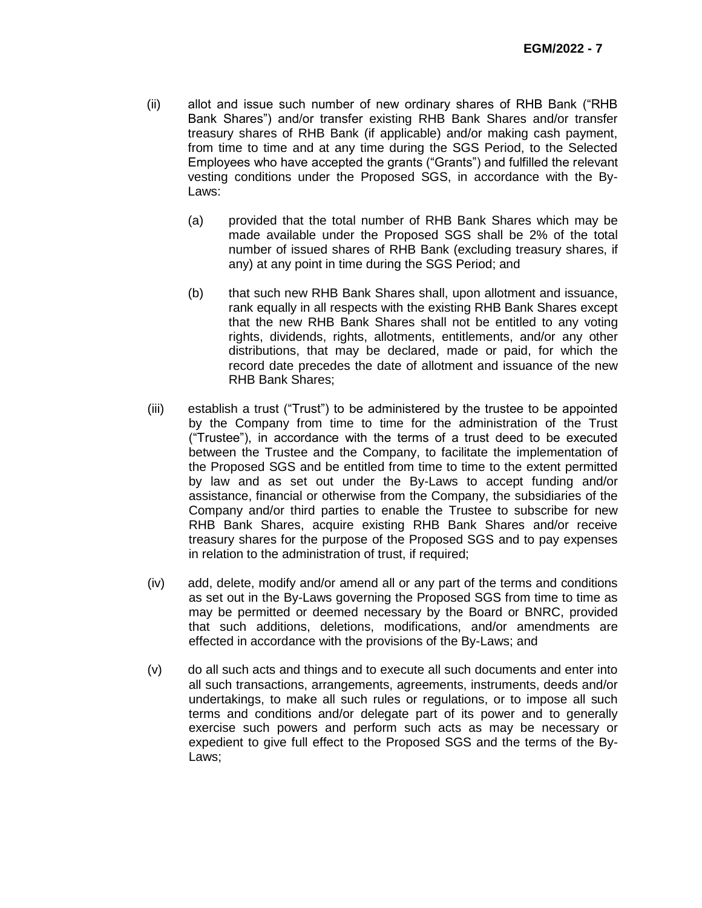- (ii) allot and issue such number of new ordinary shares of RHB Bank ("RHB Bank Shares") and/or transfer existing RHB Bank Shares and/or transfer treasury shares of RHB Bank (if applicable) and/or making cash payment, from time to time and at any time during the SGS Period, to the Selected Employees who have accepted the grants ("Grants") and fulfilled the relevant vesting conditions under the Proposed SGS, in accordance with the By-Laws:
	- (a) provided that the total number of RHB Bank Shares which may be made available under the Proposed SGS shall be 2% of the total number of issued shares of RHB Bank (excluding treasury shares, if any) at any point in time during the SGS Period; and
	- (b) that such new RHB Bank Shares shall, upon allotment and issuance, rank equally in all respects with the existing RHB Bank Shares except that the new RHB Bank Shares shall not be entitled to any voting rights, dividends, rights, allotments, entitlements, and/or any other distributions, that may be declared, made or paid, for which the record date precedes the date of allotment and issuance of the new RHB Bank Shares;
- (iii) establish a trust ("Trust") to be administered by the trustee to be appointed by the Company from time to time for the administration of the Trust ("Trustee"), in accordance with the terms of a trust deed to be executed between the Trustee and the Company, to facilitate the implementation of the Proposed SGS and be entitled from time to time to the extent permitted by law and as set out under the By-Laws to accept funding and/or assistance, financial or otherwise from the Company, the subsidiaries of the Company and/or third parties to enable the Trustee to subscribe for new RHB Bank Shares, acquire existing RHB Bank Shares and/or receive treasury shares for the purpose of the Proposed SGS and to pay expenses in relation to the administration of trust, if required;
- (iv) add, delete, modify and/or amend all or any part of the terms and conditions as set out in the By-Laws governing the Proposed SGS from time to time as may be permitted or deemed necessary by the Board or BNRC, provided that such additions, deletions, modifications, and/or amendments are effected in accordance with the provisions of the By-Laws; and
- (v) do all such acts and things and to execute all such documents and enter into all such transactions, arrangements, agreements, instruments, deeds and/or undertakings, to make all such rules or regulations, or to impose all such terms and conditions and/or delegate part of its power and to generally exercise such powers and perform such acts as may be necessary or expedient to give full effect to the Proposed SGS and the terms of the By-Laws;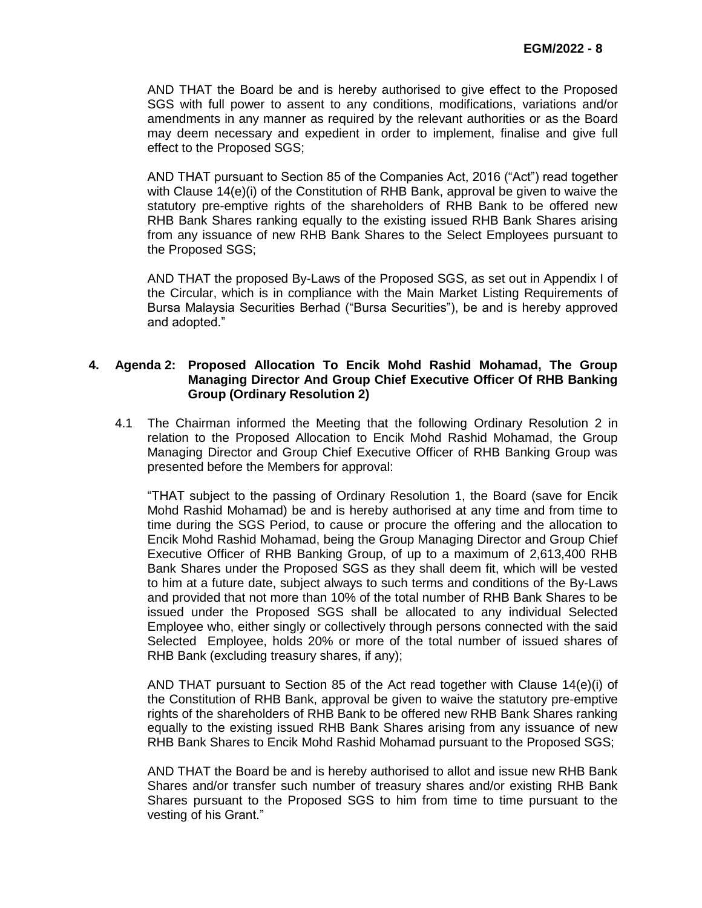AND THAT the Board be and is hereby authorised to give effect to the Proposed SGS with full power to assent to any conditions, modifications, variations and/or amendments in any manner as required by the relevant authorities or as the Board may deem necessary and expedient in order to implement, finalise and give full effect to the Proposed SGS;

AND THAT pursuant to Section 85 of the Companies Act, 2016 ("Act") read together with Clause 14(e)(i) of the Constitution of RHB Bank, approval be given to waive the statutory pre-emptive rights of the shareholders of RHB Bank to be offered new RHB Bank Shares ranking equally to the existing issued RHB Bank Shares arising from any issuance of new RHB Bank Shares to the Select Employees pursuant to the Proposed SGS;

AND THAT the proposed By-Laws of the Proposed SGS, as set out in Appendix I of the Circular, which is in compliance with the Main Market Listing Requirements of Bursa Malaysia Securities Berhad ("Bursa Securities"), be and is hereby approved and adopted."

#### **4. Agenda 2: Proposed Allocation To Encik Mohd Rashid Mohamad, The Group Managing Director And Group Chief Executive Officer Of RHB Banking Group (Ordinary Resolution 2)**

4.1 The Chairman informed the Meeting that the following Ordinary Resolution 2 in relation to the Proposed Allocation to Encik Mohd Rashid Mohamad, the Group Managing Director and Group Chief Executive Officer of RHB Banking Group was presented before the Members for approval:

"THAT subject to the passing of Ordinary Resolution 1, the Board (save for Encik Mohd Rashid Mohamad) be and is hereby authorised at any time and from time to time during the SGS Period, to cause or procure the offering and the allocation to Encik Mohd Rashid Mohamad, being the Group Managing Director and Group Chief Executive Officer of RHB Banking Group, of up to a maximum of 2,613,400 RHB Bank Shares under the Proposed SGS as they shall deem fit, which will be vested to him at a future date, subject always to such terms and conditions of the By-Laws and provided that not more than 10% of the total number of RHB Bank Shares to be issued under the Proposed SGS shall be allocated to any individual Selected Employee who, either singly or collectively through persons connected with the said Selected Employee, holds 20% or more of the total number of issued shares of RHB Bank (excluding treasury shares, if any);

AND THAT pursuant to Section 85 of the Act read together with Clause 14(e)(i) of the Constitution of RHB Bank, approval be given to waive the statutory pre-emptive rights of the shareholders of RHB Bank to be offered new RHB Bank Shares ranking equally to the existing issued RHB Bank Shares arising from any issuance of new RHB Bank Shares to Encik Mohd Rashid Mohamad pursuant to the Proposed SGS;

AND THAT the Board be and is hereby authorised to allot and issue new RHB Bank Shares and/or transfer such number of treasury shares and/or existing RHB Bank Shares pursuant to the Proposed SGS to him from time to time pursuant to the vesting of his Grant."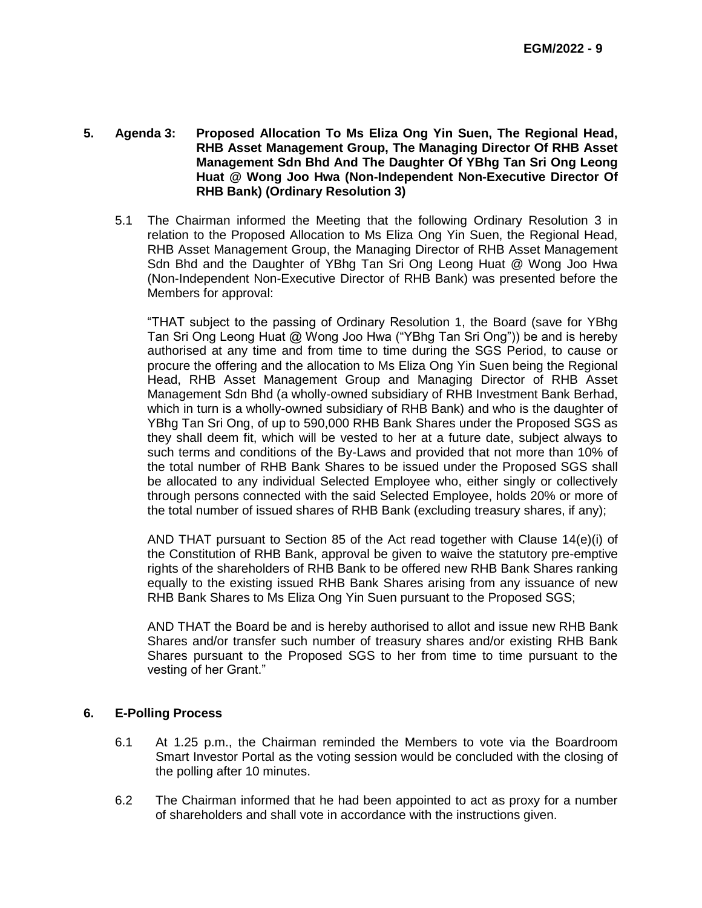- **5. Agenda 3: Proposed Allocation To Ms Eliza Ong Yin Suen, The Regional Head, RHB Asset Management Group, The Managing Director Of RHB Asset Management Sdn Bhd And The Daughter Of YBhg Tan Sri Ong Leong Huat @ Wong Joo Hwa (Non-Independent Non-Executive Director Of RHB Bank) (Ordinary Resolution 3)**
	- 5.1 The Chairman informed the Meeting that the following Ordinary Resolution 3 in relation to the Proposed Allocation to Ms Eliza Ong Yin Suen, the Regional Head, RHB Asset Management Group, the Managing Director of RHB Asset Management Sdn Bhd and the Daughter of YBhg Tan Sri Ong Leong Huat @ Wong Joo Hwa (Non-Independent Non-Executive Director of RHB Bank) was presented before the Members for approval:

"THAT subject to the passing of Ordinary Resolution 1, the Board (save for YBhg Tan Sri Ong Leong Huat @ Wong Joo Hwa ("YBhg Tan Sri Ong")) be and is hereby authorised at any time and from time to time during the SGS Period, to cause or procure the offering and the allocation to Ms Eliza Ong Yin Suen being the Regional Head, RHB Asset Management Group and Managing Director of RHB Asset Management Sdn Bhd (a wholly-owned subsidiary of RHB Investment Bank Berhad, which in turn is a wholly-owned subsidiary of RHB Bank) and who is the daughter of YBhg Tan Sri Ong, of up to 590,000 RHB Bank Shares under the Proposed SGS as they shall deem fit, which will be vested to her at a future date, subject always to such terms and conditions of the By-Laws and provided that not more than 10% of the total number of RHB Bank Shares to be issued under the Proposed SGS shall be allocated to any individual Selected Employee who, either singly or collectively through persons connected with the said Selected Employee, holds 20% or more of the total number of issued shares of RHB Bank (excluding treasury shares, if any);

AND THAT pursuant to Section 85 of the Act read together with Clause 14(e)(i) of the Constitution of RHB Bank, approval be given to waive the statutory pre-emptive rights of the shareholders of RHB Bank to be offered new RHB Bank Shares ranking equally to the existing issued RHB Bank Shares arising from any issuance of new RHB Bank Shares to Ms Eliza Ong Yin Suen pursuant to the Proposed SGS;

AND THAT the Board be and is hereby authorised to allot and issue new RHB Bank Shares and/or transfer such number of treasury shares and/or existing RHB Bank Shares pursuant to the Proposed SGS to her from time to time pursuant to the vesting of her Grant."

### **6. E-Polling Process**

- 6.1 At 1.25 p.m., the Chairman reminded the Members to vote via the Boardroom Smart Investor Portal as the voting session would be concluded with the closing of the polling after 10 minutes.
- 6.2 The Chairman informed that he had been appointed to act as proxy for a number of shareholders and shall vote in accordance with the instructions given.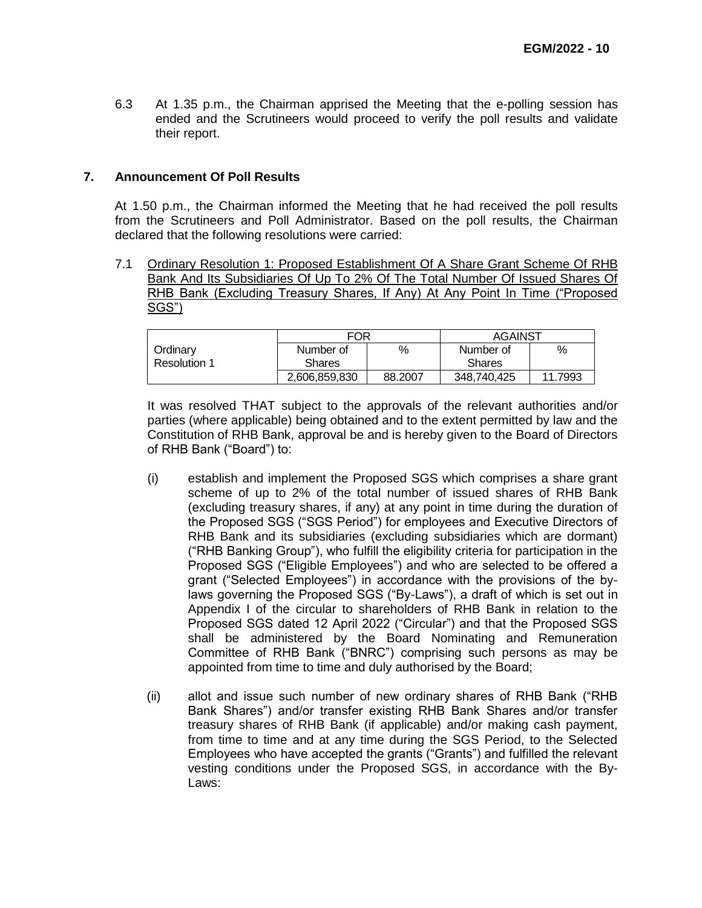6.3 At 1.35 p.m., the Chairman apprised the Meeting that the e-polling session has ended and the Scrutineers would proceed to verify the poll results and validate their report.

#### **7. Announcement Of Poll Results**

At 1.50 p.m., the Chairman informed the Meeting that he had received the poll results from the Scrutineers and Poll Administrator. Based on the poll results, the Chairman declared that the following resolutions were carried:

7.1 Ordinary Resolution 1: Proposed Establishment Of A Share Grant Scheme Of RHB Bank And Its Subsidiaries Of Up To 2% Of The Total Number Of Issued Shares Of RHB Bank (Excluding Treasury Shares, If Any) At Any Point In Time ("Proposed SGS")

|              | <b>FOR</b>    |         | <b>AGAINST</b> |         |
|--------------|---------------|---------|----------------|---------|
| Ordinary     | Number of     | %       | Number of      | %       |
| Resolution 1 | Shares        |         | <b>Shares</b>  |         |
|              | 2,606,859,830 | 88,2007 | 348,740,425    | 11.7993 |

It was resolved THAT subject to the approvals of the relevant authorities and/or parties (where applicable) being obtained and to the extent permitted by law and the Constitution of RHB Bank, approval be and is hereby given to the Board of Directors of RHB Bank ("Board") to:

- (i) establish and implement the Proposed SGS which comprises a share grant scheme of up to 2% of the total number of issued shares of RHB Bank (excluding treasury shares, if any) at any point in time during the duration of the Proposed SGS ("SGS Period") for employees and Executive Directors of RHB Bank and its subsidiaries (excluding subsidiaries which are dormant) ("RHB Banking Group"), who fulfill the eligibility criteria for participation in the Proposed SGS ("Eligible Employees") and who are selected to be offered a grant ("Selected Employees") in accordance with the provisions of the bylaws governing the Proposed SGS ("By-Laws"), a draft of which is set out in Appendix I of the circular to shareholders of RHB Bank in relation to the Proposed SGS dated 12 April 2022 ("Circular") and that the Proposed SGS shall be administered by the Board Nominating and Remuneration Committee of RHB Bank ("BNRC") comprising such persons as may be appointed from time to time and duly authorised by the Board;
- (ii) allot and issue such number of new ordinary shares of RHB Bank ("RHB Bank Shares") and/or transfer existing RHB Bank Shares and/or transfer treasury shares of RHB Bank (if applicable) and/or making cash payment, from time to time and at any time during the SGS Period, to the Selected Employees who have accepted the grants ("Grants") and fulfilled the relevant vesting conditions under the Proposed SGS, in accordance with the By-Laws: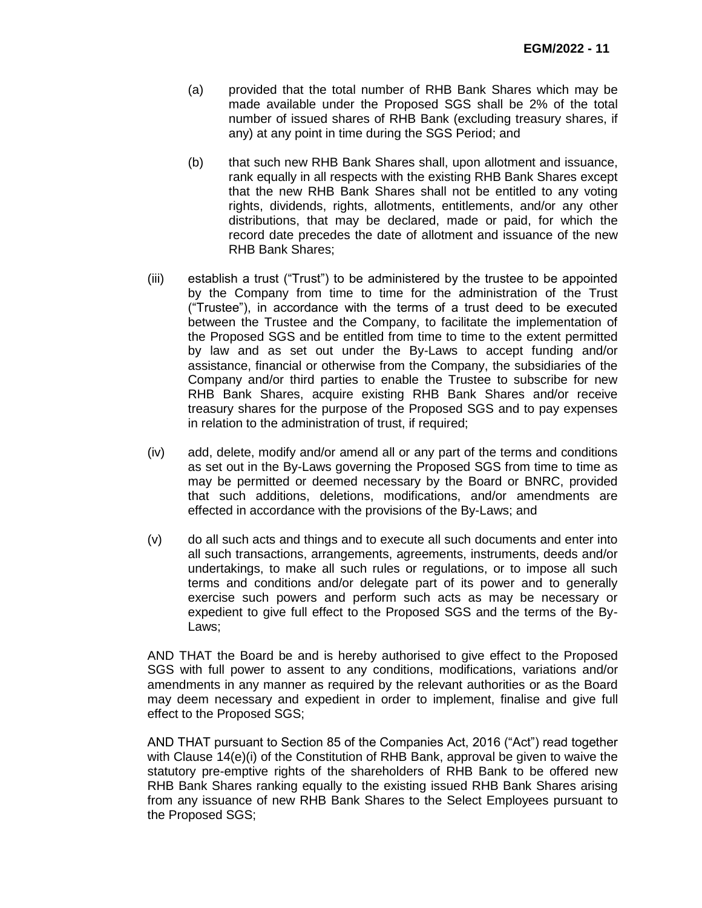- (a) provided that the total number of RHB Bank Shares which may be made available under the Proposed SGS shall be 2% of the total number of issued shares of RHB Bank (excluding treasury shares, if any) at any point in time during the SGS Period; and
- (b) that such new RHB Bank Shares shall, upon allotment and issuance, rank equally in all respects with the existing RHB Bank Shares except that the new RHB Bank Shares shall not be entitled to any voting rights, dividends, rights, allotments, entitlements, and/or any other distributions, that may be declared, made or paid, for which the record date precedes the date of allotment and issuance of the new RHB Bank Shares;
- (iii) establish a trust ("Trust") to be administered by the trustee to be appointed by the Company from time to time for the administration of the Trust ("Trustee"), in accordance with the terms of a trust deed to be executed between the Trustee and the Company, to facilitate the implementation of the Proposed SGS and be entitled from time to time to the extent permitted by law and as set out under the By-Laws to accept funding and/or assistance, financial or otherwise from the Company, the subsidiaries of the Company and/or third parties to enable the Trustee to subscribe for new RHB Bank Shares, acquire existing RHB Bank Shares and/or receive treasury shares for the purpose of the Proposed SGS and to pay expenses in relation to the administration of trust, if required;
- (iv) add, delete, modify and/or amend all or any part of the terms and conditions as set out in the By-Laws governing the Proposed SGS from time to time as may be permitted or deemed necessary by the Board or BNRC, provided that such additions, deletions, modifications, and/or amendments are effected in accordance with the provisions of the By-Laws; and
- (v) do all such acts and things and to execute all such documents and enter into all such transactions, arrangements, agreements, instruments, deeds and/or undertakings, to make all such rules or regulations, or to impose all such terms and conditions and/or delegate part of its power and to generally exercise such powers and perform such acts as may be necessary or expedient to give full effect to the Proposed SGS and the terms of the By-Laws;

AND THAT the Board be and is hereby authorised to give effect to the Proposed SGS with full power to assent to any conditions, modifications, variations and/or amendments in any manner as required by the relevant authorities or as the Board may deem necessary and expedient in order to implement, finalise and give full effect to the Proposed SGS;

AND THAT pursuant to Section 85 of the Companies Act, 2016 ("Act") read together with Clause 14(e)(i) of the Constitution of RHB Bank, approval be given to waive the statutory pre-emptive rights of the shareholders of RHB Bank to be offered new RHB Bank Shares ranking equally to the existing issued RHB Bank Shares arising from any issuance of new RHB Bank Shares to the Select Employees pursuant to the Proposed SGS;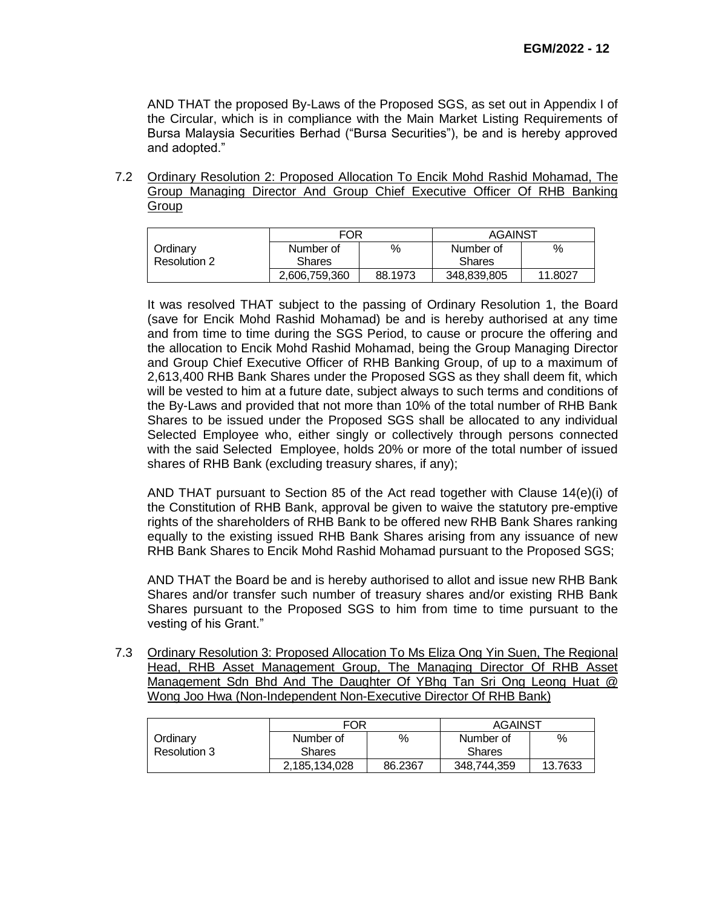AND THAT the proposed By-Laws of the Proposed SGS, as set out in Appendix I of the Circular, which is in compliance with the Main Market Listing Requirements of Bursa Malaysia Securities Berhad ("Bursa Securities"), be and is hereby approved and adopted."

7.2 Ordinary Resolution 2: Proposed Allocation To Encik Mohd Rashid Mohamad, The Group Managing Director And Group Chief Executive Officer Of RHB Banking Group

|              | FOR           |         | <b>AGAINST</b> |         |
|--------------|---------------|---------|----------------|---------|
| Ordinarv     | Number of     | %       | Number of      | %       |
| Resolution 2 | <b>Shares</b> |         | <b>Shares</b>  |         |
|              | 2,606,759,360 | 88.1973 | 348,839,805    | 11.8027 |

It was resolved THAT subject to the passing of Ordinary Resolution 1, the Board (save for Encik Mohd Rashid Mohamad) be and is hereby authorised at any time and from time to time during the SGS Period, to cause or procure the offering and the allocation to Encik Mohd Rashid Mohamad, being the Group Managing Director and Group Chief Executive Officer of RHB Banking Group, of up to a maximum of 2,613,400 RHB Bank Shares under the Proposed SGS as they shall deem fit, which will be vested to him at a future date, subject always to such terms and conditions of the By-Laws and provided that not more than 10% of the total number of RHB Bank Shares to be issued under the Proposed SGS shall be allocated to any individual Selected Employee who, either singly or collectively through persons connected with the said Selected Employee, holds 20% or more of the total number of issued shares of RHB Bank (excluding treasury shares, if any);

AND THAT pursuant to Section 85 of the Act read together with Clause 14(e)(i) of the Constitution of RHB Bank, approval be given to waive the statutory pre-emptive rights of the shareholders of RHB Bank to be offered new RHB Bank Shares ranking equally to the existing issued RHB Bank Shares arising from any issuance of new RHB Bank Shares to Encik Mohd Rashid Mohamad pursuant to the Proposed SGS;

AND THAT the Board be and is hereby authorised to allot and issue new RHB Bank Shares and/or transfer such number of treasury shares and/or existing RHB Bank Shares pursuant to the Proposed SGS to him from time to time pursuant to the vesting of his Grant."

7.3 Ordinary Resolution 3: Proposed Allocation To Ms Eliza Ong Yin Suen, The Regional Head, RHB Asset Management Group, The Managing Director Of RHB Asset Management Sdn Bhd And The Daughter Of YBhg Tan Sri Ong Leong Huat @ Wong Joo Hwa (Non-Independent Non-Executive Director Of RHB Bank)

|              | FOR           |         | <b>AGAINST</b> |         |
|--------------|---------------|---------|----------------|---------|
| Ordinarv     | Number of     | %       | Number of      | %       |
| Resolution 3 | Shares        |         | Shares         |         |
|              | 2,185,134,028 | 86.2367 | 348.744.359    | 13.7633 |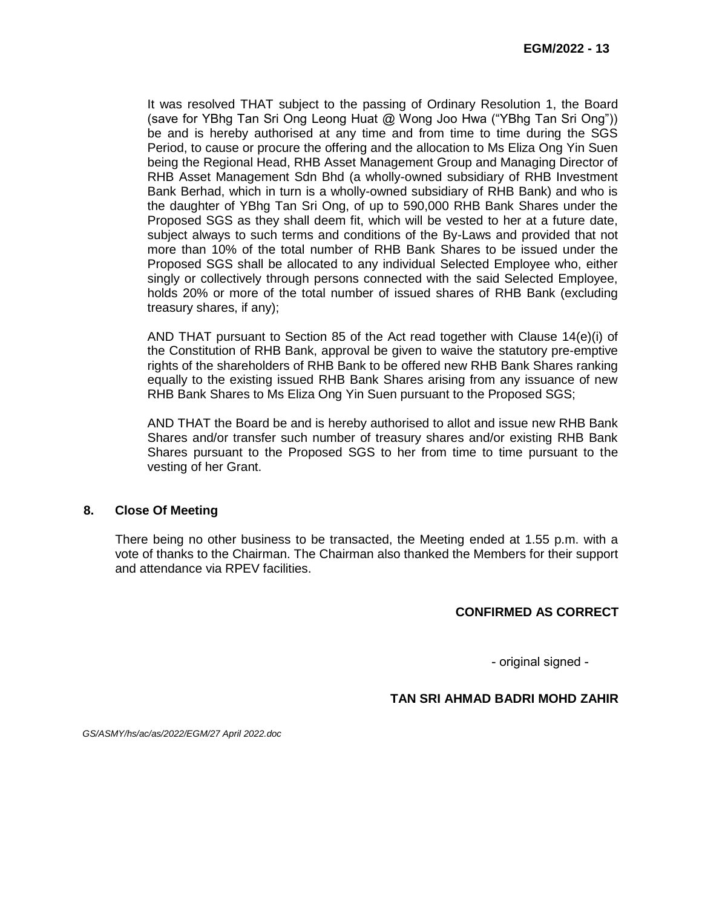It was resolved THAT subject to the passing of Ordinary Resolution 1, the Board (save for YBhg Tan Sri Ong Leong Huat @ Wong Joo Hwa ("YBhg Tan Sri Ong")) be and is hereby authorised at any time and from time to time during the SGS Period, to cause or procure the offering and the allocation to Ms Eliza Ong Yin Suen being the Regional Head, RHB Asset Management Group and Managing Director of RHB Asset Management Sdn Bhd (a wholly-owned subsidiary of RHB Investment Bank Berhad, which in turn is a wholly-owned subsidiary of RHB Bank) and who is the daughter of YBhg Tan Sri Ong, of up to 590,000 RHB Bank Shares under the Proposed SGS as they shall deem fit, which will be vested to her at a future date, subject always to such terms and conditions of the By-Laws and provided that not more than 10% of the total number of RHB Bank Shares to be issued under the Proposed SGS shall be allocated to any individual Selected Employee who, either singly or collectively through persons connected with the said Selected Employee, holds 20% or more of the total number of issued shares of RHB Bank (excluding treasury shares, if any);

AND THAT pursuant to Section 85 of the Act read together with Clause 14(e)(i) of the Constitution of RHB Bank, approval be given to waive the statutory pre-emptive rights of the shareholders of RHB Bank to be offered new RHB Bank Shares ranking equally to the existing issued RHB Bank Shares arising from any issuance of new RHB Bank Shares to Ms Eliza Ong Yin Suen pursuant to the Proposed SGS;

AND THAT the Board be and is hereby authorised to allot and issue new RHB Bank Shares and/or transfer such number of treasury shares and/or existing RHB Bank Shares pursuant to the Proposed SGS to her from time to time pursuant to the vesting of her Grant.

### **8. Close Of Meeting**

There being no other business to be transacted, the Meeting ended at 1.55 p.m. with a vote of thanks to the Chairman. The Chairman also thanked the Members for their support and attendance via RPEV facilities.

### **CONFIRMED AS CORRECT**

- original signed -

### **TAN SRI AHMAD BADRI MOHD ZAHIR**

*GS/ASMY/hs/ac/as/2022/EGM/27 April 2022.doc*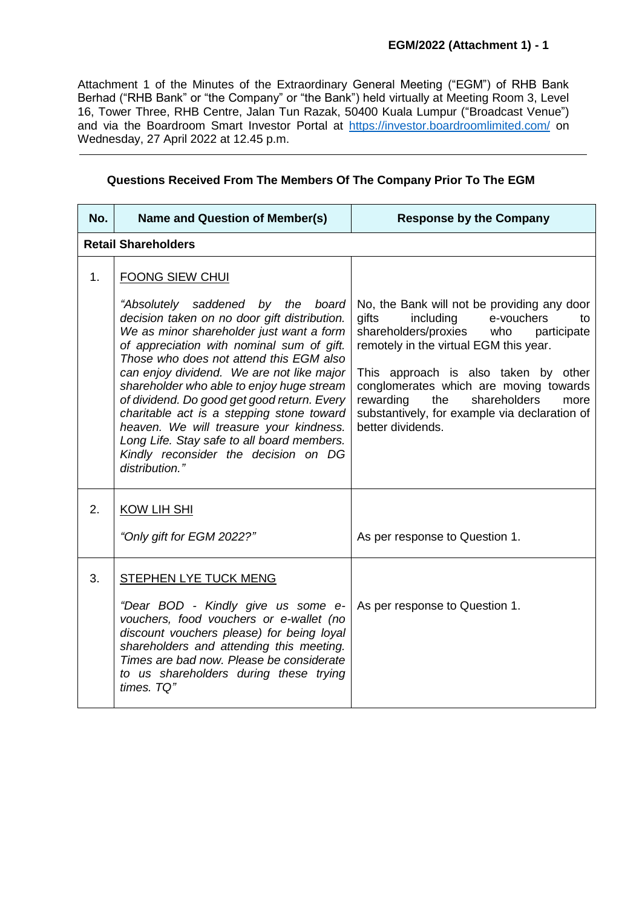Attachment 1 of the Minutes of the Extraordinary General Meeting ("EGM") of RHB Bank Berhad ("RHB Bank" or "the Company" or "the Bank") held virtually at Meeting Room 3, Level 16, Tower Three, RHB Centre, Jalan Tun Razak, 50400 Kuala Lumpur ("Broadcast Venue") and via the Boardroom Smart Investor Portal at [https://investor.boardroomlimited.com/](https://meeting.boardroomlimited.my/) on Wednesday, 27 April 2022 at 12.45 p.m.

| Questions Received From The Members Of The Company Prior To The EGM |  |  |  |
|---------------------------------------------------------------------|--|--|--|
|---------------------------------------------------------------------|--|--|--|

| No. | Name and Question of Member(s)                                                                                                                                                                                                                                                                                                                                                                                                                                                                                                                                                           | <b>Response by the Company</b>                                                                                                                                                                                                                                                                                                                                                    |
|-----|------------------------------------------------------------------------------------------------------------------------------------------------------------------------------------------------------------------------------------------------------------------------------------------------------------------------------------------------------------------------------------------------------------------------------------------------------------------------------------------------------------------------------------------------------------------------------------------|-----------------------------------------------------------------------------------------------------------------------------------------------------------------------------------------------------------------------------------------------------------------------------------------------------------------------------------------------------------------------------------|
|     | <b>Retail Shareholders</b>                                                                                                                                                                                                                                                                                                                                                                                                                                                                                                                                                               |                                                                                                                                                                                                                                                                                                                                                                                   |
| 1.  | <b>FOONG SIEW CHUI</b><br>"Absolutely saddened by the board<br>decision taken on no door gift distribution.<br>We as minor shareholder just want a form<br>of appreciation with nominal sum of gift.<br>Those who does not attend this EGM also<br>can enjoy dividend. We are not like major<br>shareholder who able to enjoy huge stream<br>of dividend. Do good get good return. Every<br>charitable act is a stepping stone toward<br>heaven. We will treasure your kindness.<br>Long Life. Stay safe to all board members.<br>Kindly reconsider the decision on DG<br>distribution." | No, the Bank will not be providing any door<br>gifts<br>including<br>e-vouchers<br>to<br>shareholders/proxies<br>who<br>participate<br>remotely in the virtual EGM this year.<br>This approach is also taken by other<br>conglomerates which are moving towards<br>shareholders<br>rewarding<br>the<br>more<br>substantively, for example via declaration of<br>better dividends. |
| 2.  | <b>KOW LIH SHI</b><br>"Only gift for EGM 2022?"                                                                                                                                                                                                                                                                                                                                                                                                                                                                                                                                          | As per response to Question 1.                                                                                                                                                                                                                                                                                                                                                    |
| 3.  | <b>STEPHEN LYE TUCK MENG</b><br>"Dear BOD - Kindly give us some e-<br>vouchers, food vouchers or e-wallet (no<br>discount vouchers please) for being loyal<br>shareholders and attending this meeting.<br>Times are bad now. Please be considerate<br>to us shareholders during these trying<br>times. TQ"                                                                                                                                                                                                                                                                               | As per response to Question 1.                                                                                                                                                                                                                                                                                                                                                    |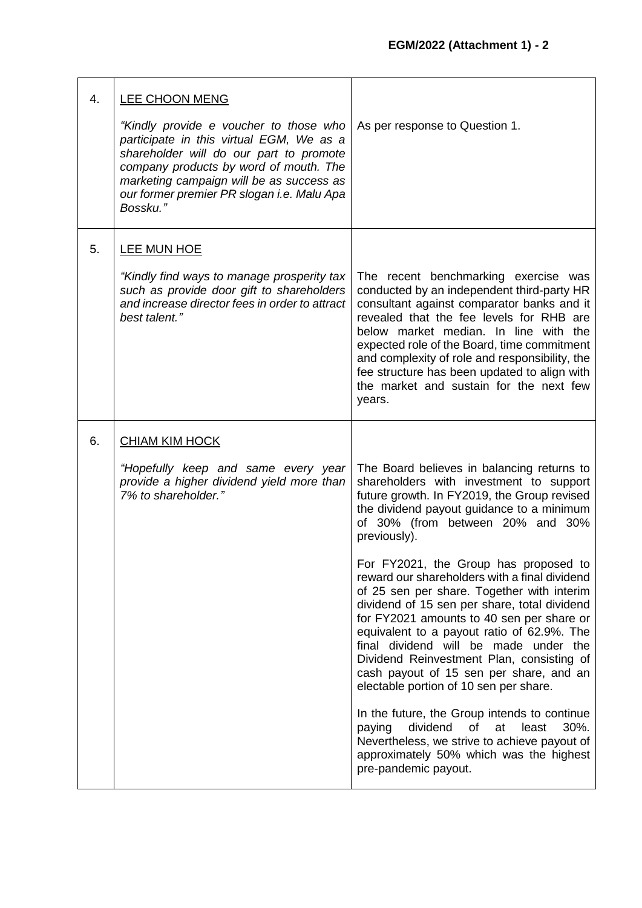| 4. | <b>LEE CHOON MENG</b><br>"Kindly provide e voucher to those who<br>participate in this virtual EGM, We as a<br>shareholder will do our part to promote<br>company products by word of mouth. The<br>marketing campaign will be as success as<br>our former premier PR slogan i.e. Malu Apa<br>Bossku." | As per response to Question 1.                                                                                                                                                                                                                                                                                                                                                                                                                                                                                                                                                                                                                                                                                                                                                                                                                                                                                            |
|----|--------------------------------------------------------------------------------------------------------------------------------------------------------------------------------------------------------------------------------------------------------------------------------------------------------|---------------------------------------------------------------------------------------------------------------------------------------------------------------------------------------------------------------------------------------------------------------------------------------------------------------------------------------------------------------------------------------------------------------------------------------------------------------------------------------------------------------------------------------------------------------------------------------------------------------------------------------------------------------------------------------------------------------------------------------------------------------------------------------------------------------------------------------------------------------------------------------------------------------------------|
| 5. | <b>LEE MUN HOE</b><br>"Kindly find ways to manage prosperity tax<br>such as provide door gift to shareholders<br>and increase director fees in order to attract<br>best talent."                                                                                                                       | The recent benchmarking exercise was<br>conducted by an independent third-party HR<br>consultant against comparator banks and it<br>revealed that the fee levels for RHB are<br>below market median. In line with the<br>expected role of the Board, time commitment<br>and complexity of role and responsibility, the<br>fee structure has been updated to align with<br>the market and sustain for the next few<br>years.                                                                                                                                                                                                                                                                                                                                                                                                                                                                                               |
| 6. | <b>CHIAM KIM HOCK</b><br>"Hopefully keep and same every year<br>provide a higher dividend yield more than<br>7% to shareholder."                                                                                                                                                                       | The Board believes in balancing returns to<br>shareholders with investment to support<br>future growth. In FY2019, the Group revised<br>the dividend payout guidance to a minimum<br>of 30% (from between 20% and 30%<br>previously).<br>For FY2021, the Group has proposed to<br>reward our shareholders with a final dividend<br>of 25 sen per share. Together with interim<br>dividend of 15 sen per share, total dividend<br>for FY2021 amounts to 40 sen per share or<br>equivalent to a payout ratio of 62.9%. The<br>final dividend will be made under the<br>Dividend Reinvestment Plan, consisting of<br>cash payout of 15 sen per share, and an<br>electable portion of 10 sen per share.<br>In the future, the Group intends to continue<br>30%.<br>dividend<br>of<br>at<br>least<br>paying<br>Nevertheless, we strive to achieve payout of<br>approximately 50% which was the highest<br>pre-pandemic payout. |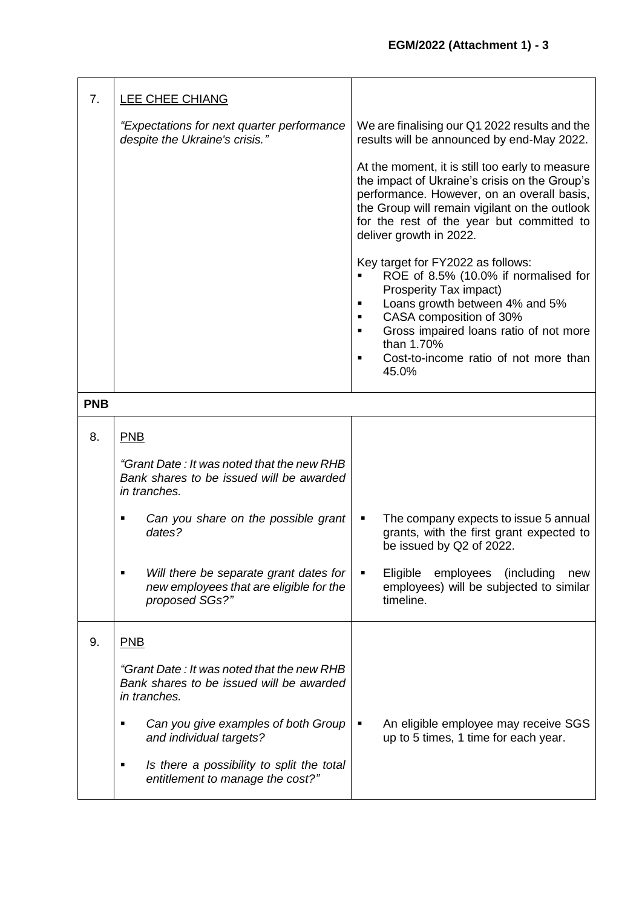| 7.         | <b>LEE CHEE CHIANG</b>                                                                                 |                                                                                                                                                                                                                                                                                                                |
|------------|--------------------------------------------------------------------------------------------------------|----------------------------------------------------------------------------------------------------------------------------------------------------------------------------------------------------------------------------------------------------------------------------------------------------------------|
|            | "Expectations for next quarter performance<br>despite the Ukraine's crisis."                           | We are finalising our Q1 2022 results and the<br>results will be announced by end-May 2022.                                                                                                                                                                                                                    |
|            |                                                                                                        | At the moment, it is still too early to measure<br>the impact of Ukraine's crisis on the Group's<br>performance. However, on an overall basis,<br>the Group will remain vigilant on the outlook<br>for the rest of the year but committed to<br>deliver growth in 2022.                                        |
|            |                                                                                                        | Key target for FY2022 as follows:<br>ROE of 8.5% (10.0% if normalised for<br>Prosperity Tax impact)<br>Loans growth between 4% and 5%<br>CASA composition of 30%<br>$\blacksquare$<br>Gross impaired loans ratio of not more<br>$\blacksquare$<br>than 1.70%<br>Cost-to-income ratio of not more than<br>45.0% |
| <b>PNB</b> |                                                                                                        |                                                                                                                                                                                                                                                                                                                |
| 8.         | PNB                                                                                                    |                                                                                                                                                                                                                                                                                                                |
|            | "Grant Date: It was noted that the new RHB<br>Bank shares to be issued will be awarded<br>in tranches. |                                                                                                                                                                                                                                                                                                                |
|            | Can you share on the possible grant<br>dates?                                                          | The company expects to issue 5 annual<br>grants, with the first grant expected to<br>be issued by Q2 of 2022.                                                                                                                                                                                                  |
|            | Will there be separate grant dates for<br>new employees that are eligible for the<br>proposed SGs?"    | Eligible employees<br>(including<br>new<br>employees) will be subjected to similar<br>timeline.                                                                                                                                                                                                                |
| 9.         | PNB                                                                                                    |                                                                                                                                                                                                                                                                                                                |
|            | "Grant Date: It was noted that the new RHB<br>Bank shares to be issued will be awarded<br>in tranches. |                                                                                                                                                                                                                                                                                                                |
|            | Can you give examples of both Group<br>п<br>and individual targets?                                    | An eligible employee may receive SGS<br>up to 5 times, 1 time for each year.                                                                                                                                                                                                                                   |
|            | Is there a possibility to split the total<br>٠<br>entitlement to manage the cost?"                     |                                                                                                                                                                                                                                                                                                                |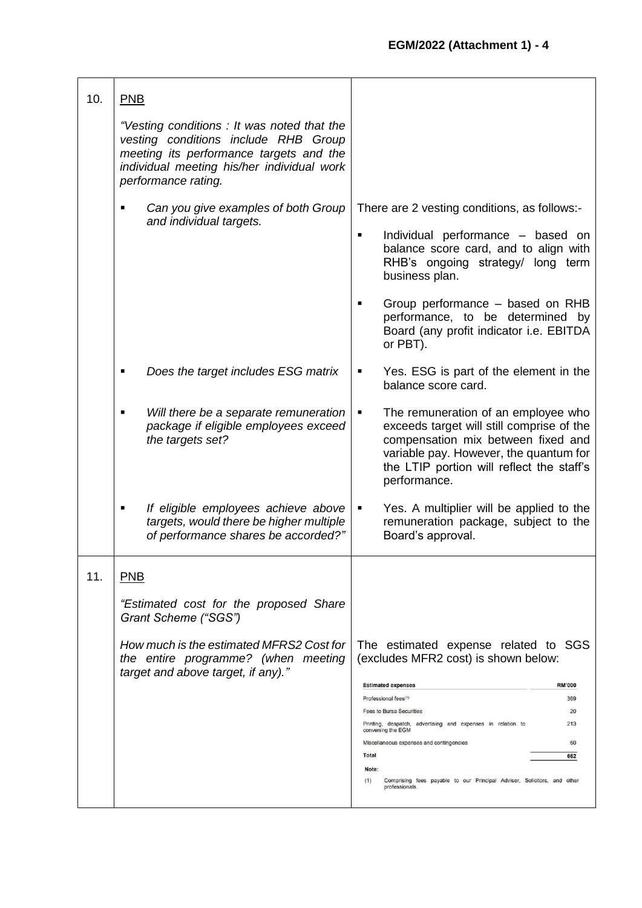| 10. | PNB                                                                                                                                                                                                |                                                                                                                                                                                                                                    |
|-----|----------------------------------------------------------------------------------------------------------------------------------------------------------------------------------------------------|------------------------------------------------------------------------------------------------------------------------------------------------------------------------------------------------------------------------------------|
|     | "Vesting conditions: It was noted that the<br>vesting conditions include RHB Group<br>meeting its performance targets and the<br>individual meeting his/her individual work<br>performance rating. |                                                                                                                                                                                                                                    |
|     | Can you give examples of both Group<br>$\blacksquare$<br>and individual targets.                                                                                                                   | There are 2 vesting conditions, as follows:-                                                                                                                                                                                       |
|     |                                                                                                                                                                                                    | Individual performance - based on<br>$\blacksquare$<br>balance score card, and to align with<br>RHB's ongoing strategy/ long term<br>business plan.                                                                                |
|     |                                                                                                                                                                                                    | Group performance - based on RHB<br>performance, to be determined by<br>Board (any profit indicator i.e. EBITDA<br>or PBT).                                                                                                        |
|     | Does the target includes ESG matrix<br>$\blacksquare$                                                                                                                                              | Yes. ESG is part of the element in the<br>balance score card.                                                                                                                                                                      |
|     | Will there be a separate remuneration<br>package if eligible employees exceed<br>the targets set?                                                                                                  | The remuneration of an employee who<br>п<br>exceeds target will still comprise of the<br>compensation mix between fixed and<br>variable pay. However, the quantum for<br>the LTIP portion will reflect the staff's<br>performance. |
|     | If eligible employees achieve above<br>٠<br>targets, would there be higher multiple<br>of performance shares be accorded?"                                                                         | Yes. A multiplier will be applied to the<br>remuneration package, subject to the<br>Board's approval.                                                                                                                              |
| 11. | <b>PNB</b>                                                                                                                                                                                         |                                                                                                                                                                                                                                    |
|     | "Estimated cost for the proposed Share<br>Grant Scheme ("SGS")                                                                                                                                     |                                                                                                                                                                                                                                    |
|     | How much is the estimated MFRS2 Cost for<br>the entire programme? (when meeting<br>target and above target, if any)."                                                                              | The estimated expense related to SGS<br>(excludes MFR2 cost) is shown below:                                                                                                                                                       |
|     |                                                                                                                                                                                                    | <b>RM'000</b><br><b>Estimated expenses</b>                                                                                                                                                                                         |
|     |                                                                                                                                                                                                    | Professional fees(1)<br>369<br>Fees to Bursa Securities<br>20                                                                                                                                                                      |
|     |                                                                                                                                                                                                    | Printing, despatch, advertising and expenses in relation to<br>213<br>convening the EGM                                                                                                                                            |
|     |                                                                                                                                                                                                    | Miscellaneous expenses and contingencies<br>60                                                                                                                                                                                     |
|     |                                                                                                                                                                                                    | Total<br>662<br>Note:                                                                                                                                                                                                              |
|     |                                                                                                                                                                                                    | Comprising fees payable to our Principal Adviser, Solicitors, and other<br>(1)<br>professionals.                                                                                                                                   |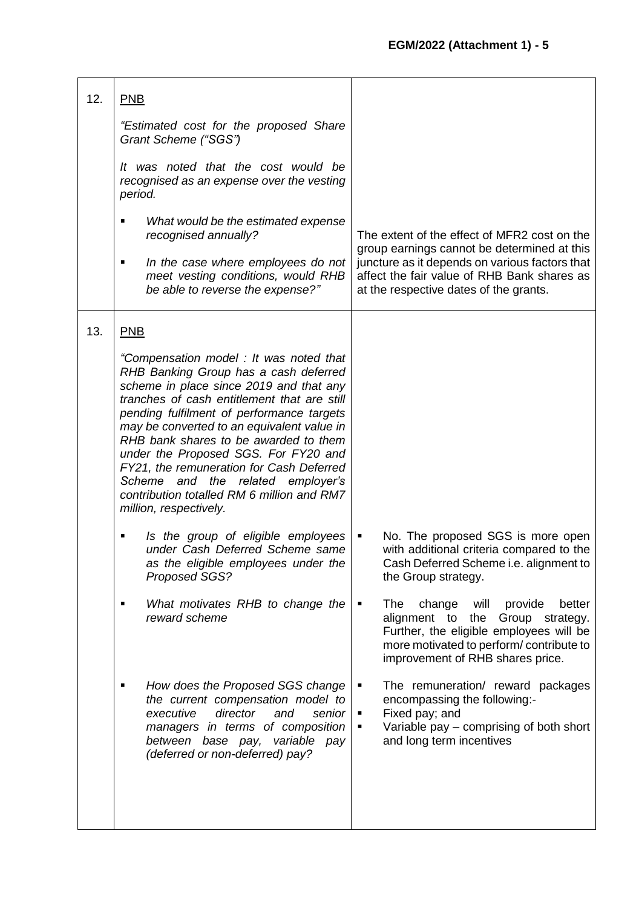| "Estimated cost for the proposed Share<br>Grant Scheme ("SGS")                                                                                                                                                                                                                                                                                                                                                                                                                                                    |                                                                                                                                                                                                                                  |
|-------------------------------------------------------------------------------------------------------------------------------------------------------------------------------------------------------------------------------------------------------------------------------------------------------------------------------------------------------------------------------------------------------------------------------------------------------------------------------------------------------------------|----------------------------------------------------------------------------------------------------------------------------------------------------------------------------------------------------------------------------------|
| It was noted that the cost would be<br>recognised as an expense over the vesting<br>period.                                                                                                                                                                                                                                                                                                                                                                                                                       |                                                                                                                                                                                                                                  |
| What would be the estimated expense<br>$\blacksquare$<br>recognised annually?                                                                                                                                                                                                                                                                                                                                                                                                                                     | The extent of the effect of MFR2 cost on the<br>group earnings cannot be determined at this                                                                                                                                      |
| In the case where employees do not<br>٠<br>meet vesting conditions, would RHB<br>be able to reverse the expense?"                                                                                                                                                                                                                                                                                                                                                                                                 | juncture as it depends on various factors that<br>affect the fair value of RHB Bank shares as<br>at the respective dates of the grants.                                                                                          |
| PNB                                                                                                                                                                                                                                                                                                                                                                                                                                                                                                               |                                                                                                                                                                                                                                  |
| "Compensation model: It was noted that<br>RHB Banking Group has a cash deferred<br>scheme in place since 2019 and that any<br>tranches of cash entitlement that are still<br>pending fulfilment of performance targets<br>may be converted to an equivalent value in<br>RHB bank shares to be awarded to them<br>under the Proposed SGS. For FY20 and<br>FY21, the remuneration for Cash Deferred<br>Scheme<br>and the related employer's<br>contribution totalled RM 6 million and RM7<br>million, respectively. |                                                                                                                                                                                                                                  |
| Is the group of eligible employees<br>٠<br>under Cash Deferred Scheme same<br>as the eligible employees under the<br>Proposed SGS?                                                                                                                                                                                                                                                                                                                                                                                | No. The proposed SGS is more open<br>$\blacksquare$<br>with additional criteria compared to the<br>Cash Deferred Scheme i.e. alignment to<br>the Group strategy.                                                                 |
| What motivates RHB to change the<br>$\blacksquare$<br>reward scheme                                                                                                                                                                                                                                                                                                                                                                                                                                               | change<br>better<br>The<br>will<br>provide<br>$\blacksquare$<br>alignment to<br>Group strategy.<br>the<br>Further, the eligible employees will be<br>more motivated to perform/contribute to<br>improvement of RHB shares price. |
| How does the Proposed SGS change<br>٠<br>the current compensation model to<br>director<br>executive<br>and<br>senior<br>managers in terms of composition<br>between base pay, variable pay<br>(deferred or non-deferred) pay?                                                                                                                                                                                                                                                                                     | The remuneration/ reward packages<br>п<br>encompassing the following:-<br>Fixed pay; and<br>٠<br>Variable pay – comprising of both short<br>٠<br>and long term incentives                                                        |
|                                                                                                                                                                                                                                                                                                                                                                                                                                                                                                                   |                                                                                                                                                                                                                                  |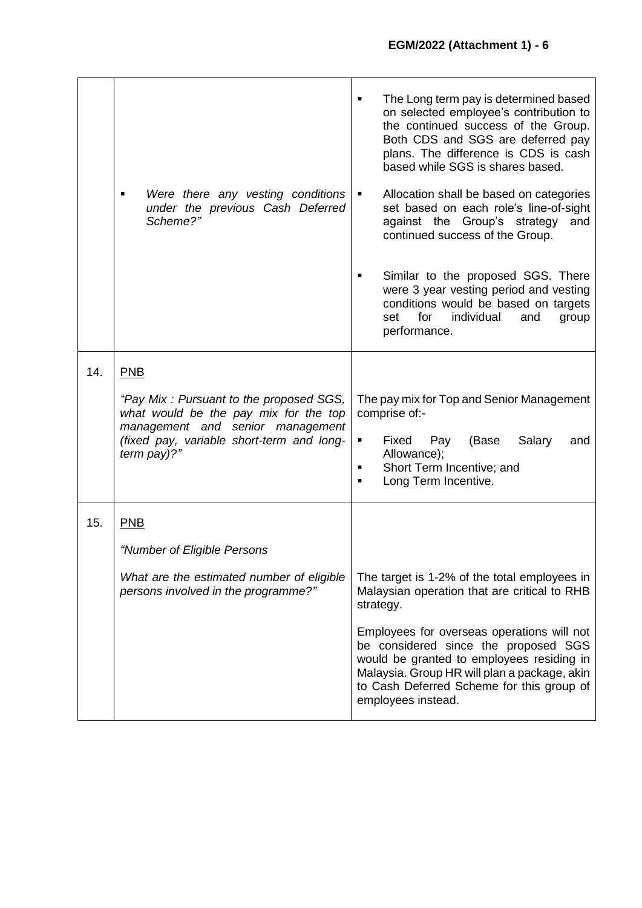|     | Were there any vesting conditions<br>under the previous Cash Deferred<br>Scheme?"                                                                                                                | The Long term pay is determined based<br>$\blacksquare$<br>on selected employee's contribution to<br>the continued success of the Group.<br>Both CDS and SGS are deferred pay<br>plans. The difference is CDS is cash<br>based while SGS is shares based.<br>Allocation shall be based on categories<br>п<br>set based on each role's line-of-sight<br>against the Group's strategy<br>and<br>continued success of the Group.<br>Similar to the proposed SGS. There<br>$\blacksquare$<br>were 3 year vesting period and vesting<br>conditions would be based on targets<br>individual<br>for<br>and<br>set<br>group<br>performance. |
|-----|--------------------------------------------------------------------------------------------------------------------------------------------------------------------------------------------------|-------------------------------------------------------------------------------------------------------------------------------------------------------------------------------------------------------------------------------------------------------------------------------------------------------------------------------------------------------------------------------------------------------------------------------------------------------------------------------------------------------------------------------------------------------------------------------------------------------------------------------------|
| 14. | <b>PNB</b><br>"Pay Mix: Pursuant to the proposed SGS,<br>what would be the pay mix for the top<br>management and senior management<br>(fixed pay, variable short-term and long-<br>term $pay$ ?" | The pay mix for Top and Senior Management<br>comprise of:-<br>Salary<br>Fixed<br>Pay<br>(Base<br>and<br>٠<br>Allowance);<br>Short Term Incentive; and<br>$\blacksquare$<br>Long Term Incentive.<br>$\blacksquare$                                                                                                                                                                                                                                                                                                                                                                                                                   |
| 15. | <b>PNB</b><br>"Number of Eligible Persons<br>What are the estimated number of eligible<br>persons involved in the programme?"                                                                    | The target is 1-2% of the total employees in<br>Malaysian operation that are critical to RHB<br>strategy.<br>Employees for overseas operations will not<br>be considered since the proposed SGS<br>would be granted to employees residing in<br>Malaysia. Group HR will plan a package, akin<br>to Cash Deferred Scheme for this group of<br>employees instead.                                                                                                                                                                                                                                                                     |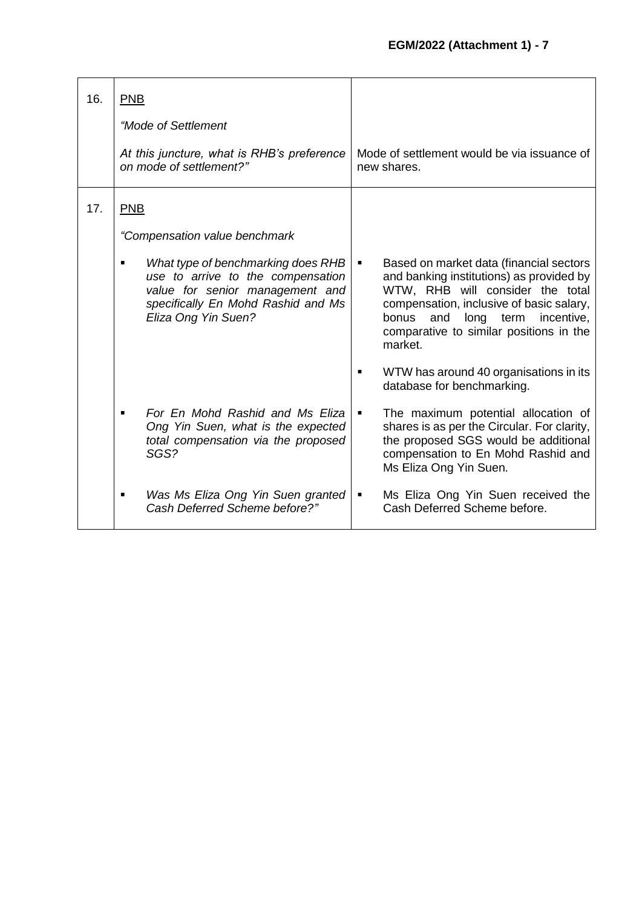| 16. | <b>PNB</b><br>"Mode of Settlement<br>At this juncture, what is RHB's preference<br>on mode of settlement?"                                                                                                                  | Mode of settlement would be via issuance of<br>new shares.                                                                                                                                                                                                                                                                                         |
|-----|-----------------------------------------------------------------------------------------------------------------------------------------------------------------------------------------------------------------------------|----------------------------------------------------------------------------------------------------------------------------------------------------------------------------------------------------------------------------------------------------------------------------------------------------------------------------------------------------|
| 17. | <b>PNB</b><br>"Compensation value benchmark<br>What type of benchmarking does RHB<br>п<br>use to arrive to the compensation<br>value for senior management and<br>specifically En Mohd Rashid and Ms<br>Eliza Ong Yin Suen? | Based on market data (financial sectors<br>٠<br>and banking institutions) as provided by<br>WTW, RHB will consider the total<br>compensation, inclusive of basic salary,<br>long<br>bonus<br>and<br>term<br>incentive,<br>comparative to similar positions in the<br>market.                                                                       |
|     | For En Mohd Rashid and Ms Eliza<br>Ong Yin Suen, what is the expected<br>total compensation via the proposed<br>SGS?<br>Was Ms Eliza Ong Yin Suen granted<br>$\blacksquare$<br>Cash Deferred Scheme before?"                | WTW has around 40 organisations in its<br>database for benchmarking.<br>The maximum potential allocation of<br>п<br>shares is as per the Circular. For clarity,<br>the proposed SGS would be additional<br>compensation to En Mohd Rashid and<br>Ms Eliza Ong Yin Suen.<br>Ms Eliza Ong Yin Suen received the<br>٠<br>Cash Deferred Scheme before. |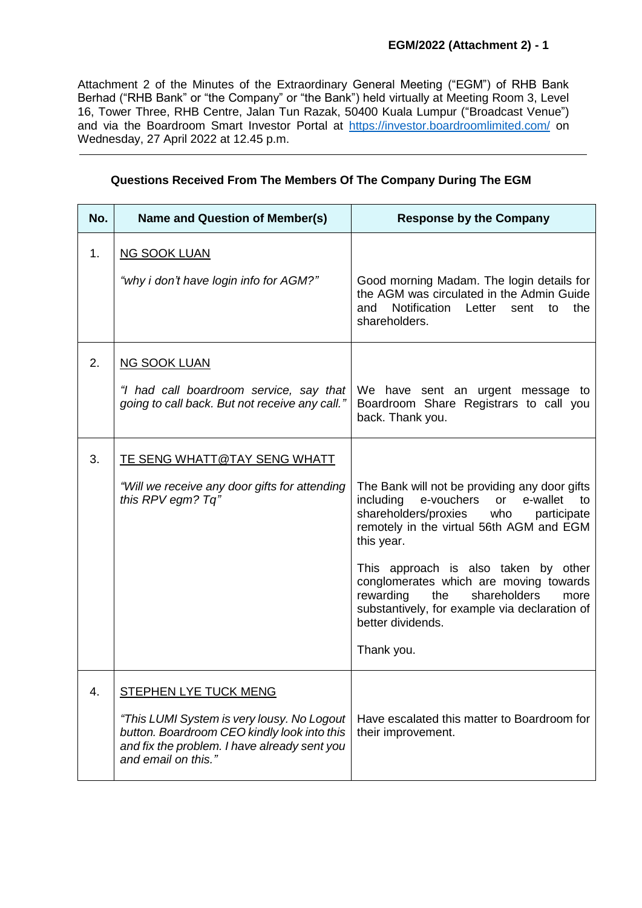Attachment 2 of the Minutes of the Extraordinary General Meeting ("EGM") of RHB Bank Berhad ("RHB Bank" or "the Company" or "the Bank") held virtually at Meeting Room 3, Level 16, Tower Three, RHB Centre, Jalan Tun Razak, 50400 Kuala Lumpur ("Broadcast Venue") and via the Boardroom Smart Investor Portal at [https://investor.boardroomlimited.com/](https://meeting.boardroomlimited.my/) on Wednesday, 27 April 2022 at 12.45 p.m.

| <b>Name and Question of Member(s)</b>                                                                                                                                                     | <b>Response by the Company</b>                                                                                                                                                                        |
|-------------------------------------------------------------------------------------------------------------------------------------------------------------------------------------------|-------------------------------------------------------------------------------------------------------------------------------------------------------------------------------------------------------|
| <b>NG SOOK LUAN</b>                                                                                                                                                                       |                                                                                                                                                                                                       |
| "why i don't have login info for AGM?"                                                                                                                                                    | Good morning Madam. The login details for<br>the AGM was circulated in the Admin Guide<br>Notification<br>and<br>Letter<br>the<br>sent<br>to<br>shareholders.                                         |
| <b>NG SOOK LUAN</b>                                                                                                                                                                       |                                                                                                                                                                                                       |
| "I had call boardroom service, say that<br>going to call back. But not receive any call."                                                                                                 | We have sent an urgent message to<br>Boardroom Share Registrars to call you<br>back. Thank you.                                                                                                       |
| <u>TE SENG WHATT@TAY SENG WHATT</u>                                                                                                                                                       |                                                                                                                                                                                                       |
| "Will we receive any door gifts for attending<br>this RPV egm? Tq"                                                                                                                        | The Bank will not be providing any door gifts<br>including<br>e-vouchers<br>e-wallet<br>or<br>to<br>shareholders/proxies who<br>participate<br>remotely in the virtual 56th AGM and EGM<br>this year. |
|                                                                                                                                                                                           | This approach is also taken by other<br>conglomerates which are moving towards<br>rewarding<br>the<br>shareholders<br>more<br>substantively, for example via declaration of<br>better dividends.      |
|                                                                                                                                                                                           | Thank you.                                                                                                                                                                                            |
| STEPHEN LYE TUCK MENG<br>"This LUMI System is very lousy. No Logout<br>button. Boardroom CEO kindly look into this<br>and fix the problem. I have already sent you<br>and email on this." | Have escalated this matter to Boardroom for<br>their improvement.                                                                                                                                     |
|                                                                                                                                                                                           |                                                                                                                                                                                                       |

# **Questions Received From The Members Of The Company During The EGM**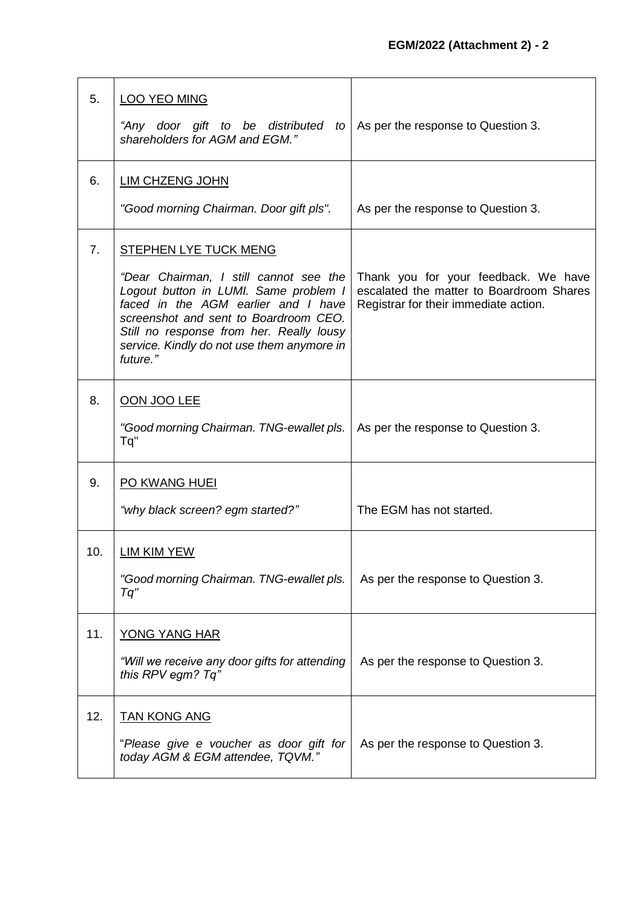| 5.  | <b>LOO YEO MING</b>                                                                                                                                                                                                                                                   |                                                                                                                           |
|-----|-----------------------------------------------------------------------------------------------------------------------------------------------------------------------------------------------------------------------------------------------------------------------|---------------------------------------------------------------------------------------------------------------------------|
|     | "Any door gift to be distributed to<br>shareholders for AGM and EGM."                                                                                                                                                                                                 | As per the response to Question 3.                                                                                        |
| 6.  | <b>LIM CHZENG JOHN</b>                                                                                                                                                                                                                                                |                                                                                                                           |
|     | "Good morning Chairman. Door gift pls".                                                                                                                                                                                                                               | As per the response to Question 3.                                                                                        |
| 7.  | <b>STEPHEN LYE TUCK MENG</b>                                                                                                                                                                                                                                          |                                                                                                                           |
|     | "Dear Chairman, I still cannot see the<br>Logout button in LUMI. Same problem I<br>faced in the AGM earlier and I have<br>screenshot and sent to Boardroom CEO.<br>Still no response from her. Really lousy<br>service. Kindly do not use them anymore in<br>future." | Thank you for your feedback. We have<br>escalated the matter to Boardroom Shares<br>Registrar for their immediate action. |
| 8.  | OON JOO LEE                                                                                                                                                                                                                                                           |                                                                                                                           |
|     | "Good morning Chairman. TNG-ewallet pls.<br>Tq"                                                                                                                                                                                                                       | As per the response to Question 3.                                                                                        |
| 9.  | PO KWANG HUEI                                                                                                                                                                                                                                                         |                                                                                                                           |
|     | "why black screen? egm started?"                                                                                                                                                                                                                                      | The EGM has not started.                                                                                                  |
| 10. | LIM KIM YEW                                                                                                                                                                                                                                                           |                                                                                                                           |
|     | "Good morning Chairman. TNG-ewallet pls.<br>Tq"                                                                                                                                                                                                                       | As per the response to Question 3.                                                                                        |
| 11. | <b>YONG YANG HAR</b>                                                                                                                                                                                                                                                  |                                                                                                                           |
|     | "Will we receive any door gifts for attending<br>this RPV egm? Tq"                                                                                                                                                                                                    | As per the response to Question 3.                                                                                        |
| 12. | <b>TAN KONG ANG</b>                                                                                                                                                                                                                                                   |                                                                                                                           |
|     | "Please give e voucher as door gift for<br>today AGM & EGM attendee, TQVM."                                                                                                                                                                                           | As per the response to Question 3.                                                                                        |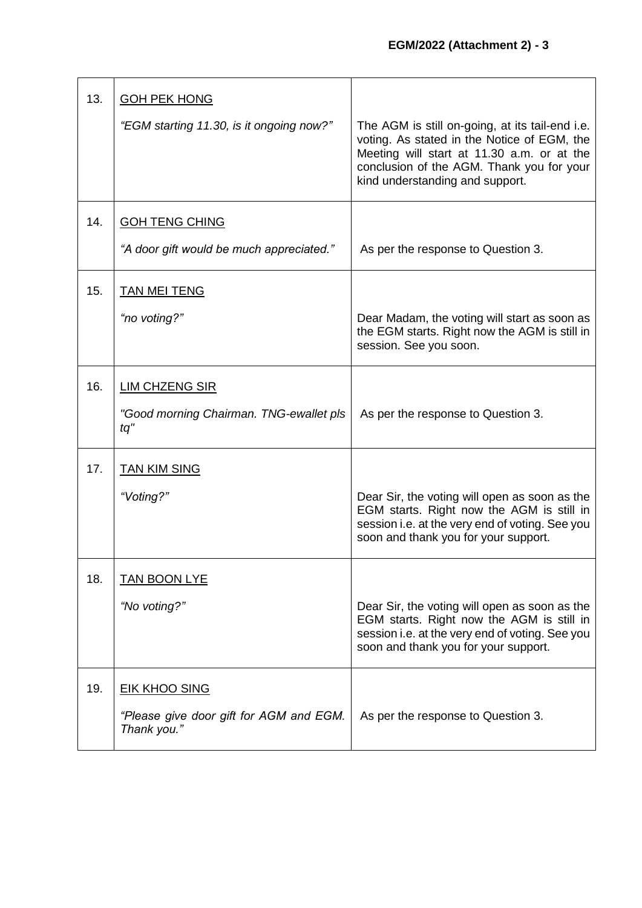| 13. | <b>GOH PEK HONG</b>                                    |                                                                                                                                                                                                                              |
|-----|--------------------------------------------------------|------------------------------------------------------------------------------------------------------------------------------------------------------------------------------------------------------------------------------|
|     | "EGM starting 11.30, is it ongoing now?"               | The AGM is still on-going, at its tail-end i.e.<br>voting. As stated in the Notice of EGM, the<br>Meeting will start at 11.30 a.m. or at the<br>conclusion of the AGM. Thank you for your<br>kind understanding and support. |
| 14. | <b>GOH TENG CHING</b>                                  |                                                                                                                                                                                                                              |
|     | "A door gift would be much appreciated."               | As per the response to Question 3.                                                                                                                                                                                           |
| 15. | <b>TAN MEI TENG</b>                                    |                                                                                                                                                                                                                              |
|     | "no voting?"                                           | Dear Madam, the voting will start as soon as<br>the EGM starts. Right now the AGM is still in<br>session. See you soon.                                                                                                      |
| 16. | <b>LIM CHZENG SIR</b>                                  |                                                                                                                                                                                                                              |
|     | "Good morning Chairman. TNG-ewallet pls<br>$tq$ "      | As per the response to Question 3.                                                                                                                                                                                           |
| 17. | <b>TAN KIM SING</b>                                    |                                                                                                                                                                                                                              |
|     | "Voting?"                                              | Dear Sir, the voting will open as soon as the<br>EGM starts. Right now the AGM is still in<br>session i.e. at the very end of voting. See you<br>soon and thank you for your support.                                        |
| 18. | <b>TAN BOON LYE</b>                                    |                                                                                                                                                                                                                              |
|     | "No voting?"                                           | Dear Sir, the voting will open as soon as the<br>EGM starts. Right now the AGM is still in<br>session i.e. at the very end of voting. See you<br>soon and thank you for your support.                                        |
| 19. | <b>EIK KHOO SING</b>                                   |                                                                                                                                                                                                                              |
|     | "Please give door gift for AGM and EGM.<br>Thank you." | As per the response to Question 3.                                                                                                                                                                                           |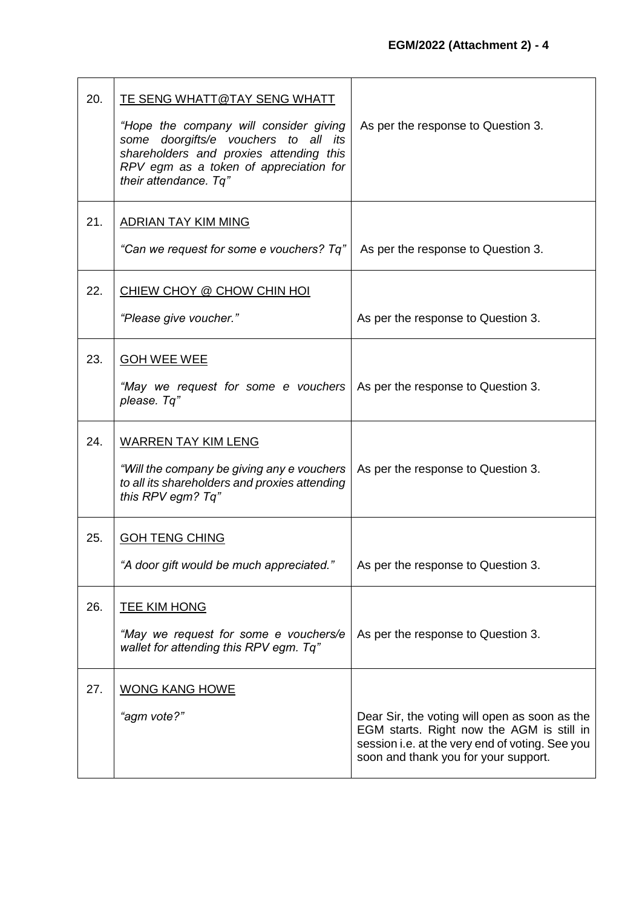| 20. | <u>TE SENG WHATT@TAY SENG WHATT</u><br>"Hope the company will consider giving<br>some doorgifts/e vouchers to all its<br>shareholders and proxies attending this<br>RPV egm as a token of appreciation for<br>their attendance. Tq" | As per the response to Question 3.                                                                                                                                                    |
|-----|-------------------------------------------------------------------------------------------------------------------------------------------------------------------------------------------------------------------------------------|---------------------------------------------------------------------------------------------------------------------------------------------------------------------------------------|
| 21. | ADRIAN TAY KIM MING<br>"Can we request for some e vouchers? Tq"                                                                                                                                                                     | As per the response to Question 3.                                                                                                                                                    |
| 22. | <u>CHIEW CHOY @ CHOW CHIN HOI</u><br>"Please give voucher."                                                                                                                                                                         | As per the response to Question 3.                                                                                                                                                    |
| 23. | <b>GOH WEE WEE</b><br>"May we request for some e vouchers<br>please. Tq"                                                                                                                                                            | As per the response to Question 3.                                                                                                                                                    |
| 24. | <b>WARREN TAY KIM LENG</b><br>"Will the company be giving any e vouchers"<br>to all its shareholders and proxies attending<br>this RPV egm? Tq"                                                                                     | As per the response to Question 3.                                                                                                                                                    |
| 25. | <b>GOH TENG CHING</b><br>"A door gift would be much appreciated."                                                                                                                                                                   | As per the response to Question 3.                                                                                                                                                    |
| 26. | <b>TEE KIM HONG</b><br>"May we request for some e vouchers/e<br>wallet for attending this RPV egm. Tq"                                                                                                                              | As per the response to Question 3.                                                                                                                                                    |
| 27. | <b>WONG KANG HOWE</b><br>"agm vote?"                                                                                                                                                                                                | Dear Sir, the voting will open as soon as the<br>EGM starts. Right now the AGM is still in<br>session i.e. at the very end of voting. See you<br>soon and thank you for your support. |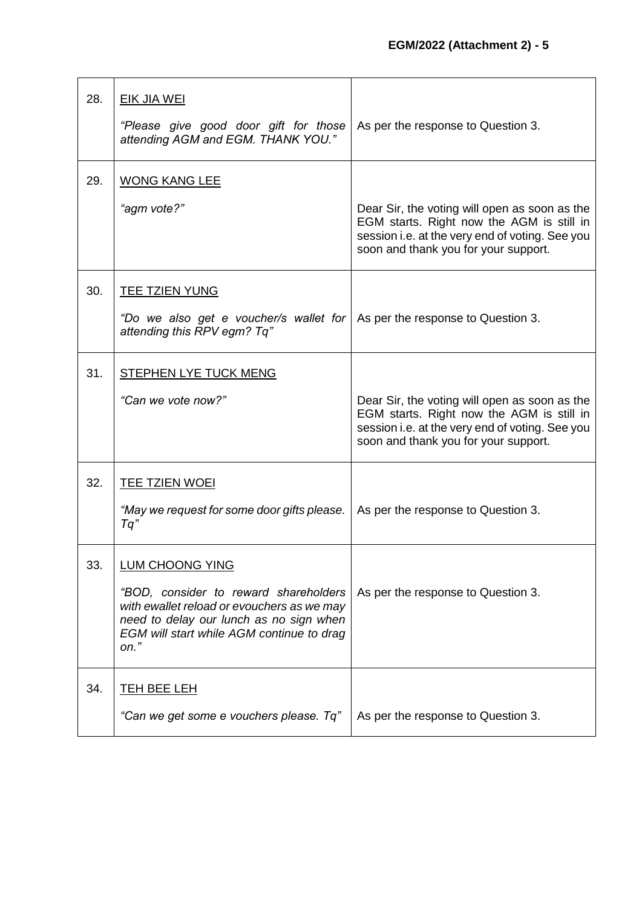| 28. | <b>EIK JIA WEI</b><br>"Please give good door gift for those<br>attending AGM and EGM. THANK YOU."                                                                                                                | As per the response to Question 3.                                                                                                                                                    |
|-----|------------------------------------------------------------------------------------------------------------------------------------------------------------------------------------------------------------------|---------------------------------------------------------------------------------------------------------------------------------------------------------------------------------------|
| 29. | <b>WONG KANG LEE</b><br>"agm vote?"                                                                                                                                                                              | Dear Sir, the voting will open as soon as the<br>EGM starts. Right now the AGM is still in<br>session i.e. at the very end of voting. See you<br>soon and thank you for your support. |
| 30. | <b>TEE TZIEN YUNG</b><br>"Do we also get e voucher/s wallet for<br>attending this RPV egm? Tq"                                                                                                                   | As per the response to Question 3.                                                                                                                                                    |
| 31. | <b>STEPHEN LYE TUCK MENG</b><br>"Can we vote now?"                                                                                                                                                               | Dear Sir, the voting will open as soon as the<br>EGM starts. Right now the AGM is still in<br>session i.e. at the very end of voting. See you<br>soon and thank you for your support. |
| 32. | TEE TZIEN WOEI<br>"May we request for some door gifts please.<br>Tq"                                                                                                                                             | As per the response to Question 3.                                                                                                                                                    |
| 33. | <b>LUM CHOONG YING</b><br>"BOD, consider to reward shareholders<br>with ewallet reload or evouchers as we may<br>need to delay our lunch as no sign when<br>EGM will start while AGM continue to drag<br>$on.$ " | As per the response to Question 3.                                                                                                                                                    |
| 34. | <u>TEH BEE LEH</u><br>"Can we get some e vouchers please. Tq"                                                                                                                                                    | As per the response to Question 3.                                                                                                                                                    |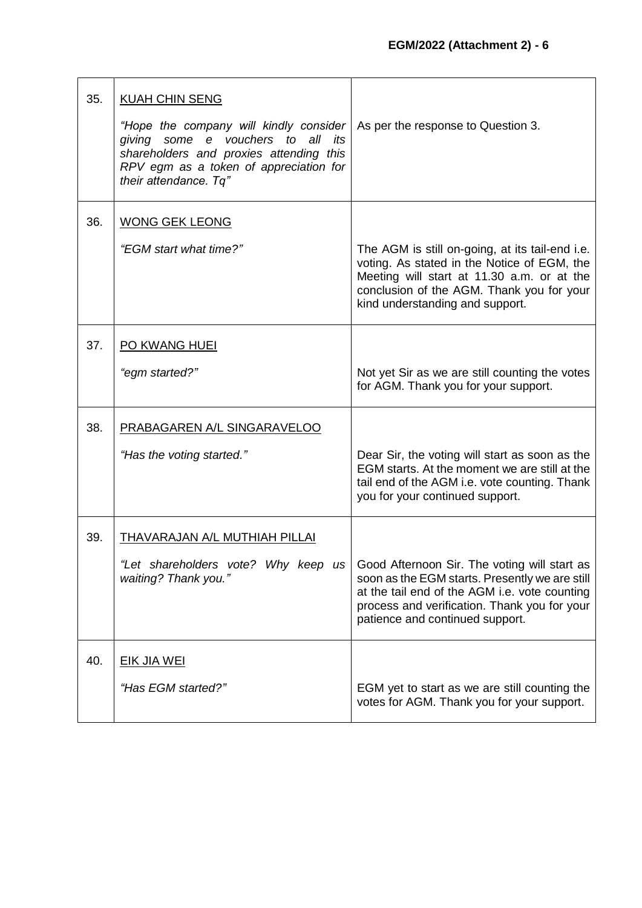| 35. | <b>KUAH CHIN SENG</b><br>"Hope the company will kindly consider<br>giving some e vouchers to all its<br>shareholders and proxies attending this<br>RPV egm as a token of appreciation for<br>their attendance. Tq" | As per the response to Question 3.                                                                                                                                                                                                 |
|-----|--------------------------------------------------------------------------------------------------------------------------------------------------------------------------------------------------------------------|------------------------------------------------------------------------------------------------------------------------------------------------------------------------------------------------------------------------------------|
| 36. | <b>WONG GEK LEONG</b><br>"EGM start what time?"                                                                                                                                                                    | The AGM is still on-going, at its tail-end i.e.<br>voting. As stated in the Notice of EGM, the<br>Meeting will start at 11.30 a.m. or at the<br>conclusion of the AGM. Thank you for your<br>kind understanding and support.       |
| 37. | <b>PO KWANG HUEI</b><br>"egm started?"                                                                                                                                                                             | Not yet Sir as we are still counting the votes<br>for AGM. Thank you for your support.                                                                                                                                             |
| 38. | PRABAGAREN A/L SINGARAVELOO<br>"Has the voting started."                                                                                                                                                           | Dear Sir, the voting will start as soon as the<br>EGM starts. At the moment we are still at the<br>tail end of the AGM i.e. vote counting. Thank<br>you for your continued support.                                                |
| 39. | <u>THAVARAJAN A/L MUTHIAH PILLAI</u><br>"Let shareholders vote? Why keep us<br>waiting? Thank you."                                                                                                                | Good Afternoon Sir. The voting will start as<br>soon as the EGM starts. Presently we are still<br>at the tail end of the AGM i.e. vote counting<br>process and verification. Thank you for your<br>patience and continued support. |
| 40. | <u>EIK JIA WEI</u><br>"Has EGM started?"                                                                                                                                                                           | EGM yet to start as we are still counting the<br>votes for AGM. Thank you for your support.                                                                                                                                        |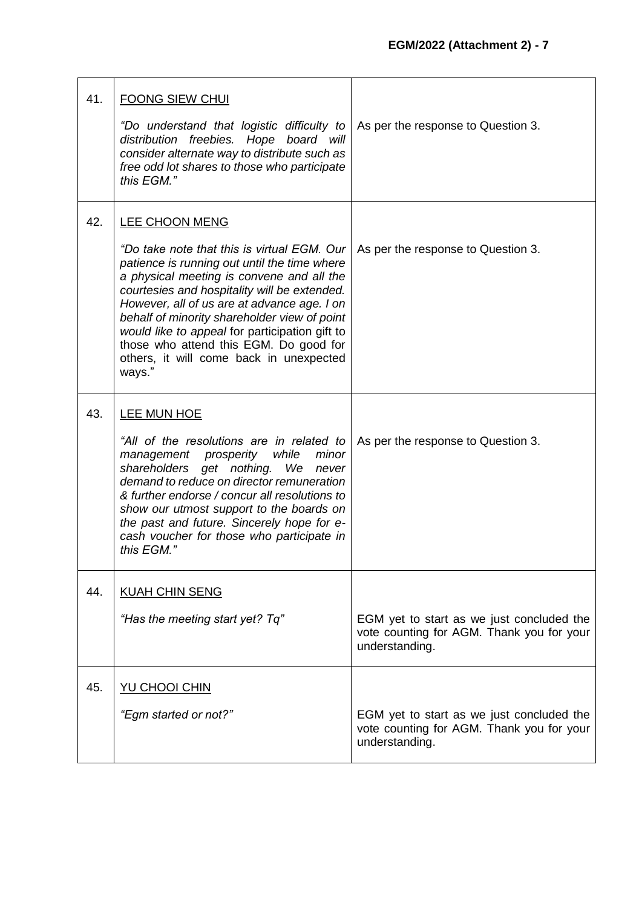| 41. | <b>FOONG SIEW CHUI</b><br>"Do understand that logistic difficulty to<br>distribution freebies. Hope board will<br>consider alternate way to distribute such as<br>free odd lot shares to those who participate<br>this EGM."                                                                                                                                                                                                                                      | As per the response to Question 3.                                                                       |
|-----|-------------------------------------------------------------------------------------------------------------------------------------------------------------------------------------------------------------------------------------------------------------------------------------------------------------------------------------------------------------------------------------------------------------------------------------------------------------------|----------------------------------------------------------------------------------------------------------|
| 42. | <b>LEE CHOON MENG</b><br>"Do take note that this is virtual EGM. Our<br>patience is running out until the time where<br>a physical meeting is convene and all the<br>courtesies and hospitality will be extended.<br>However, all of us are at advance age. I on<br>behalf of minority shareholder view of point<br>would like to appeal for participation gift to<br>those who attend this EGM. Do good for<br>others, it will come back in unexpected<br>ways." | As per the response to Question 3.                                                                       |
| 43. | LEE MUN HOE<br>"All of the resolutions are in related to<br>management<br>prosperity<br>while<br>minor<br>shareholders get nothing.<br>We<br>never<br>demand to reduce on director remuneration<br>& further endorse / concur all resolutions to<br>show our utmost support to the boards on<br>the past and future. Sincerely hope for e-<br>cash voucher for those who participate in<br>this EGM."                                                             | As per the response to Question 3.                                                                       |
| 44. | <b>KUAH CHIN SENG</b><br>"Has the meeting start yet? Tq"                                                                                                                                                                                                                                                                                                                                                                                                          | EGM yet to start as we just concluded the<br>vote counting for AGM. Thank you for your<br>understanding. |
| 45. | <b>YU CHOOI CHIN</b><br>"Egm started or not?"                                                                                                                                                                                                                                                                                                                                                                                                                     | EGM yet to start as we just concluded the<br>vote counting for AGM. Thank you for your<br>understanding. |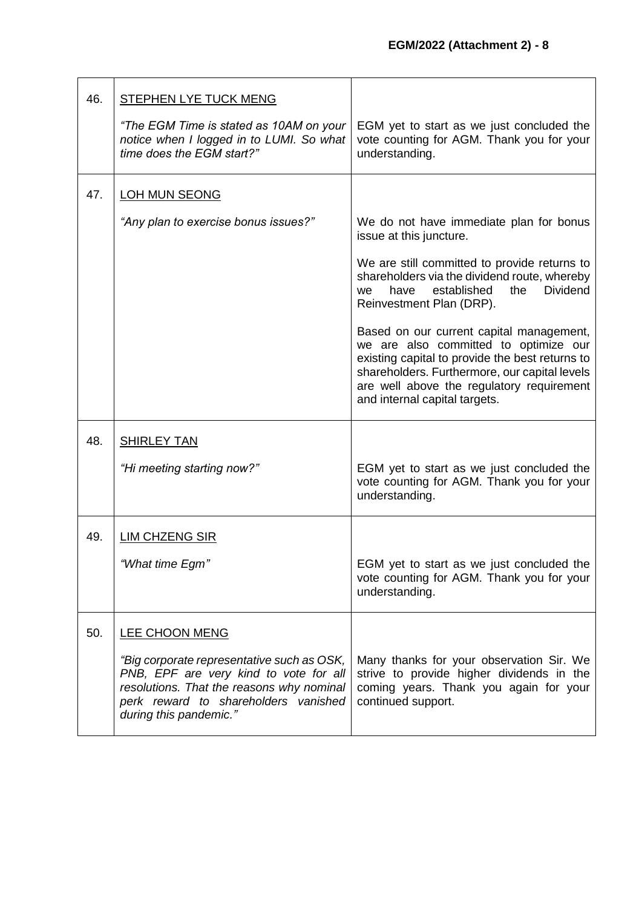| 46. | STEPHEN LYE TUCK MENG                                                                                                                                                                               |                                                                                                                                                                                                                                                                     |
|-----|-----------------------------------------------------------------------------------------------------------------------------------------------------------------------------------------------------|---------------------------------------------------------------------------------------------------------------------------------------------------------------------------------------------------------------------------------------------------------------------|
|     | "The EGM Time is stated as 10AM on your<br>notice when I logged in to LUMI. So what<br>time does the EGM start?"                                                                                    | EGM yet to start as we just concluded the<br>vote counting for AGM. Thank you for your<br>understanding.                                                                                                                                                            |
| 47. | <b>LOH MUN SEONG</b>                                                                                                                                                                                |                                                                                                                                                                                                                                                                     |
|     | "Any plan to exercise bonus issues?"                                                                                                                                                                | We do not have immediate plan for bonus<br>issue at this juncture.                                                                                                                                                                                                  |
|     |                                                                                                                                                                                                     | We are still committed to provide returns to<br>shareholders via the dividend route, whereby<br>established<br><b>Dividend</b><br>have<br>the<br><b>we</b><br>Reinvestment Plan (DRP).                                                                              |
|     |                                                                                                                                                                                                     | Based on our current capital management,<br>we are also committed to optimize our<br>existing capital to provide the best returns to<br>shareholders. Furthermore, our capital levels<br>are well above the regulatory requirement<br>and internal capital targets. |
| 48. | <b>SHIRLEY TAN</b>                                                                                                                                                                                  |                                                                                                                                                                                                                                                                     |
|     | "Hi meeting starting now?"                                                                                                                                                                          | EGM yet to start as we just concluded the<br>vote counting for AGM. Thank you for your<br>understanding.                                                                                                                                                            |
| 49. | <b>LIM CHZENG SIR</b>                                                                                                                                                                               |                                                                                                                                                                                                                                                                     |
|     | "What time Egm"                                                                                                                                                                                     | EGM yet to start as we just concluded the<br>vote counting for AGM. Thank you for your<br>understanding.                                                                                                                                                            |
| 50. | <b>LEE CHOON MENG</b>                                                                                                                                                                               |                                                                                                                                                                                                                                                                     |
|     | "Big corporate representative such as OSK,<br>PNB, EPF are very kind to vote for all<br>resolutions. That the reasons why nominal<br>perk reward to shareholders vanished<br>during this pandemic." | Many thanks for your observation Sir. We<br>strive to provide higher dividends in the<br>coming years. Thank you again for your<br>continued support.                                                                                                               |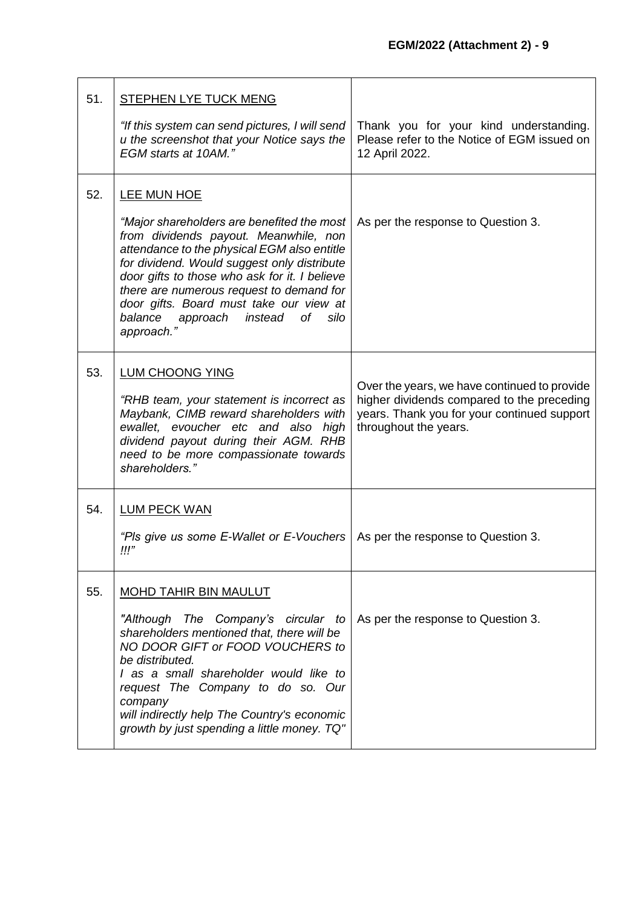| 51. | <b>STEPHEN LYE TUCK MENG</b><br>"If this system can send pictures, I will send<br>u the screenshot that your Notice says the<br>EGM starts at 10AM."                                                                                                                                                                                                                                                | Thank you for your kind understanding.<br>Please refer to the Notice of EGM issued on<br>12 April 2022.                                                            |
|-----|-----------------------------------------------------------------------------------------------------------------------------------------------------------------------------------------------------------------------------------------------------------------------------------------------------------------------------------------------------------------------------------------------------|--------------------------------------------------------------------------------------------------------------------------------------------------------------------|
| 52. | LEE MUN HOE<br>"Major shareholders are benefited the most<br>from dividends payout. Meanwhile, non<br>attendance to the physical EGM also entitle<br>for dividend. Would suggest only distribute<br>door gifts to those who ask for it. I believe<br>there are numerous request to demand for<br>door gifts. Board must take our view at<br>balance<br>approach<br>instead of<br>silo<br>approach." | As per the response to Question 3.                                                                                                                                 |
| 53. | <b>LUM CHOONG YING</b><br>"RHB team, your statement is incorrect as<br>Maybank, CIMB reward shareholders with<br>ewallet, evoucher etc and also high<br>dividend payout during their AGM. RHB<br>need to be more compassionate towards<br>shareholders."                                                                                                                                            | Over the years, we have continued to provide<br>higher dividends compared to the preceding<br>years. Thank you for your continued support<br>throughout the years. |
| 54. | <b>LUM PECK WAN</b><br>"Pls give us some E-Wallet or E-Vouchers"<br>!!!"                                                                                                                                                                                                                                                                                                                            | As per the response to Question 3.                                                                                                                                 |
| 55. | <b>MOHD TAHIR BIN MAULUT</b><br>"Although The Company's circular to<br>shareholders mentioned that, there will be<br>NO DOOR GIFT or FOOD VOUCHERS to<br>be distributed.<br>I as a small shareholder would like to<br>request The Company to do so. Our<br>company<br>will indirectly help The Country's economic<br>growth by just spending a little money. TQ"                                    | As per the response to Question 3.                                                                                                                                 |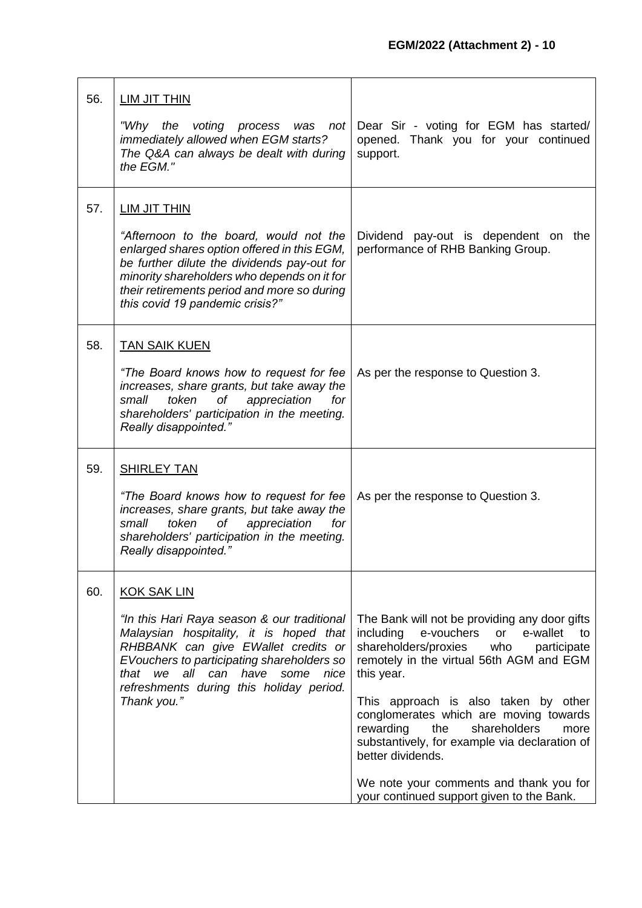| 56. | <b>LIM JIT THIN</b>                                                                                                                                                                                                                                                      |                                                                                                                                                                                                          |
|-----|--------------------------------------------------------------------------------------------------------------------------------------------------------------------------------------------------------------------------------------------------------------------------|----------------------------------------------------------------------------------------------------------------------------------------------------------------------------------------------------------|
|     | "Why the<br>voting process was not<br>immediately allowed when EGM starts?<br>The Q&A can always be dealt with during<br>the EGM."                                                                                                                                       | Dear Sir - voting for EGM has started/<br>opened. Thank you for your continued<br>support.                                                                                                               |
| 57. | <b>LIM JIT THIN</b><br>"Afternoon to the board, would not the<br>enlarged shares option offered in this EGM,<br>be further dilute the dividends pay-out for                                                                                                              | Dividend pay-out is dependent on the<br>performance of RHB Banking Group.                                                                                                                                |
|     | minority shareholders who depends on it for<br>their retirements period and more so during<br>this covid 19 pandemic crisis?"                                                                                                                                            |                                                                                                                                                                                                          |
| 58. | <b>TAN SAIK KUEN</b>                                                                                                                                                                                                                                                     |                                                                                                                                                                                                          |
|     | "The Board knows how to request for fee<br>increases, share grants, but take away the<br>of<br>appreciation<br>small<br>token<br>for<br>shareholders' participation in the meeting.<br>Really disappointed."                                                             | As per the response to Question 3.                                                                                                                                                                       |
| 59. | <b>SHIRLEY TAN</b>                                                                                                                                                                                                                                                       |                                                                                                                                                                                                          |
|     | "The Board knows how to request for fee<br>increases, share grants, but take away the<br>small<br>token<br>оf<br>appreciation<br>for<br>shareholders' participation in the meeting.<br>Really disappointed."                                                             | As per the response to Question 3.                                                                                                                                                                       |
| 60. | <b>KOK SAK LIN</b>                                                                                                                                                                                                                                                       |                                                                                                                                                                                                          |
|     | "In this Hari Raya season & our traditional<br>Malaysian hospitality, it is hoped that<br>RHBBANK can give EWallet credits or<br>EVouchers to participating shareholders so<br>all can<br>have<br>that<br>we<br>some<br>nice<br>refreshments during this holiday period. | The Bank will not be providing any door gifts<br>e-vouchers<br>e-wallet<br>including<br>or<br>to<br>shareholders/proxies<br>who<br>participate<br>remotely in the virtual 56th AGM and EGM<br>this year. |
|     | Thank you."                                                                                                                                                                                                                                                              | This approach is also taken by other<br>conglomerates which are moving towards<br>shareholders<br>rewarding<br>the<br>more<br>substantively, for example via declaration of<br>better dividends.         |
|     |                                                                                                                                                                                                                                                                          | We note your comments and thank you for<br>your continued support given to the Bank.                                                                                                                     |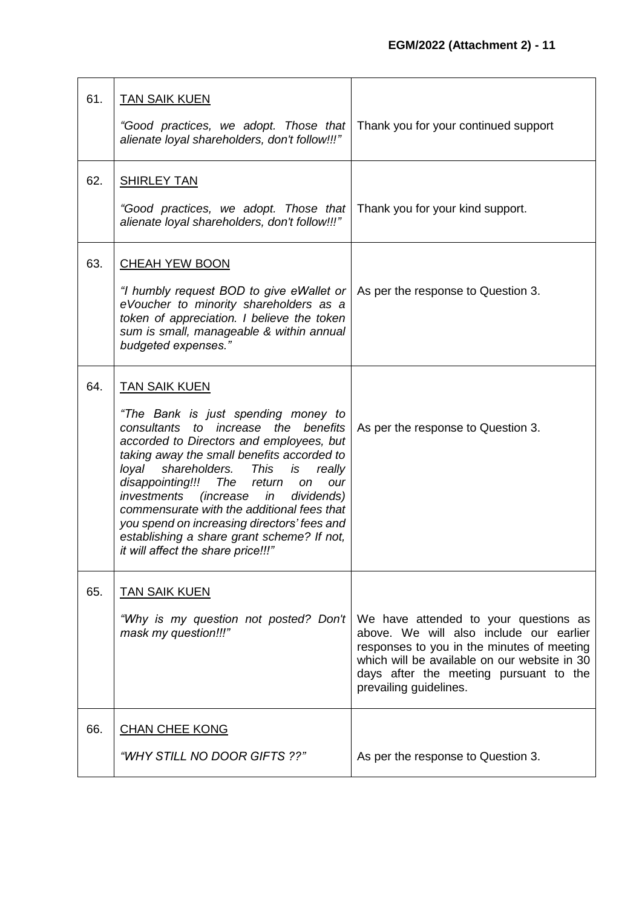| 61. | <b>TAN SAIK KUEN</b><br>"Good practices, we adopt. Those that<br>alienate loyal shareholders, don't follow!!!"                                                                                                                                                                                                                                                                                                                                                                                                                               | Thank you for your continued support                                                                                                                                                                                                               |
|-----|----------------------------------------------------------------------------------------------------------------------------------------------------------------------------------------------------------------------------------------------------------------------------------------------------------------------------------------------------------------------------------------------------------------------------------------------------------------------------------------------------------------------------------------------|----------------------------------------------------------------------------------------------------------------------------------------------------------------------------------------------------------------------------------------------------|
| 62. | <b>SHIRLEY TAN</b><br>"Good practices, we adopt. Those that<br>alienate loyal shareholders, don't follow!!!"                                                                                                                                                                                                                                                                                                                                                                                                                                 | Thank you for your kind support.                                                                                                                                                                                                                   |
| 63. | <b>CHEAH YEW BOON</b><br>"I humbly request BOD to give eWallet or<br>eVoucher to minority shareholders as a<br>token of appreciation. I believe the token<br>sum is small, manageable & within annual<br>budgeted expenses."                                                                                                                                                                                                                                                                                                                 | As per the response to Question 3.                                                                                                                                                                                                                 |
| 64. | <b>TAN SAIK KUEN</b><br>"The Bank is just spending money to<br>consultants<br>to increase<br>the<br>benefits<br>accorded to Directors and employees, but<br>taking away the small benefits accorded to<br>loyal<br>shareholders.<br>This<br>is<br>really<br>disappointing!!! The<br>return<br>on<br>our<br><i>(increase in</i><br>investments<br>dividends)<br>commensurate with the additional fees that<br>you spend on increasing directors' fees and<br>establishing a share grant scheme? If not,<br>it will affect the share price!!!" | As per the response to Question 3.                                                                                                                                                                                                                 |
| 65. | <b>TAN SAIK KUEN</b><br>"Why is my question not posted? Don't<br>mask my question!!!"                                                                                                                                                                                                                                                                                                                                                                                                                                                        | We have attended to your questions as<br>above. We will also include our earlier<br>responses to you in the minutes of meeting<br>which will be available on our website in 30<br>days after the meeting pursuant to the<br>prevailing guidelines. |
| 66. | <b>CHAN CHEE KONG</b><br>"WHY STILL NO DOOR GIFTS ??"                                                                                                                                                                                                                                                                                                                                                                                                                                                                                        | As per the response to Question 3.                                                                                                                                                                                                                 |